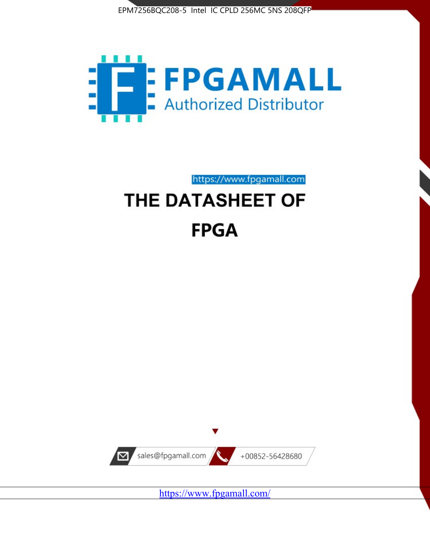



https://www.fpgamall.com

# THE DATASHEET OF **FPGA**



<https://www.fpgamall.com/>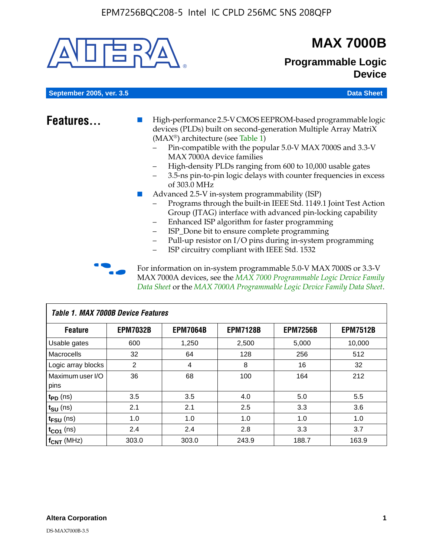

# **MAX 7000B**

### **Programmable Logic Device**

**September 2005, ver. 3.5 Data Sheet** Construction of the Construction of the Construction of the Data Sheet

- **Features...** High-performance 2.5-V CMOS EEPROM-based programmable logic devices (PLDs) built on second-generation Multiple Array MatriX (MAX®) architecture (see Table 1)
	- Pin-compatible with the popular 5.0-V MAX 7000S and 3.3-V MAX 7000A device families
	- High-density PLDs ranging from 600 to 10,000 usable gates
	- 3.5-ns pin-to-pin logic delays with counter frequencies in excess of 303.0 MHz
	- Advanced 2.5-V in-system programmability (ISP)
	- Programs through the built-in IEEE Std. 1149.1 Joint Test Action Group (JTAG) interface with advanced pin-locking capability
	- Enhanced ISP algorithm for faster programming
	- ISP\_Done bit to ensure complete programming
	- Pull-up resistor on I/O pins during in-system programming
	- ISP circuitry compliant with IEEE Std. 1532

For information on in-system programmable 5.0-V MAX 7000S or 3.3-V MAX 7000A devices, see the *MAX 7000 Programmable Logic Device Family Data Sheet* or the *MAX 7000A Programmable Logic Device Family Data Sheet*.

| <b>Table 1. MAX 7000B Device Features</b> |                 |                 |                 |                 |                 |  |  |  |
|-------------------------------------------|-----------------|-----------------|-----------------|-----------------|-----------------|--|--|--|
| <b>Feature</b>                            | <b>EPM7032B</b> | <b>EPM7064B</b> | <b>EPM7128B</b> | <b>EPM7256B</b> | <b>EPM7512B</b> |  |  |  |
| <b>Usable gates</b>                       | 600             | 1,250           | 2,500           | 5,000           | 10,000          |  |  |  |
| <b>Macrocells</b>                         | 32              | 64              | 128             | 256             | 512             |  |  |  |
| Logic array blocks                        | 2               | 4               | 8               | 16              | 32              |  |  |  |
| Maximum user I/O                          | 36              | 68              | 100             | 164             | 212             |  |  |  |
| pins                                      |                 |                 |                 |                 |                 |  |  |  |
| $t_{PD}$ (ns)                             | 3.5             | 3.5             | 4.0             | 5.0             | 5.5             |  |  |  |
| $t_{\text{SU}}$ (ns)                      | 2.1             | 2.1             | 2.5             | 3.3             | 3.6             |  |  |  |
| $t_{\text{FSU}}$ (ns)                     | 1.0             | 1.0             | 1.0             | 1.0             | 1.0             |  |  |  |
| $t_{CO1}$ (ns)                            | 2.4             | 2.4             | 2.8             | 3.3             | 3.7             |  |  |  |
| f <sub>CNT</sub> (MHz)                    | 303.0           | 303.0           | 243.9           | 188.7           | 163.9           |  |  |  |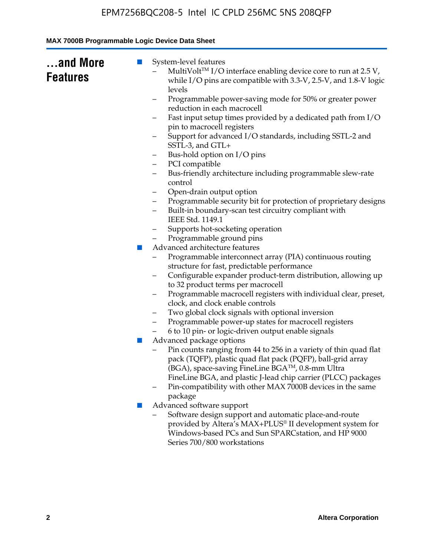| and More<br><b>Features</b> | System-level features<br>$\blacksquare$<br>MultiVolt <sup>™</sup> I/O interface enabling device core to run at $2.5 V$ ,<br>while I/O pins are compatible with 3.3-V, 2.5-V, and 1.8-V logic<br>levels<br>Programmable power-saving mode for 50% or greater power<br>- |
|-----------------------------|------------------------------------------------------------------------------------------------------------------------------------------------------------------------------------------------------------------------------------------------------------------------|
|                             | reduction in each macrocell                                                                                                                                                                                                                                            |
|                             | Fast input setup times provided by a dedicated path from I/O<br>pin to macrocell registers                                                                                                                                                                             |
|                             | Support for advanced I/O standards, including SSTL-2 and<br>SSTL-3, and GTL+                                                                                                                                                                                           |
|                             | Bus-hold option on I/O pins                                                                                                                                                                                                                                            |
|                             | PCI compatible<br>-                                                                                                                                                                                                                                                    |
|                             | Bus-friendly architecture including programmable slew-rate<br>-<br>control                                                                                                                                                                                             |
|                             | Open-drain output option<br>-                                                                                                                                                                                                                                          |
|                             | Programmable security bit for protection of proprietary designs<br>-<br>Built-in boundary-scan test circuitry compliant with                                                                                                                                           |
|                             | IEEE Std. 1149.1                                                                                                                                                                                                                                                       |
|                             | Supports hot-socketing operation                                                                                                                                                                                                                                       |
|                             | Programmable ground pins<br>Advanced architecture features<br>$\mathcal{C}^{\mathcal{A}}$                                                                                                                                                                              |
|                             | Programmable interconnect array (PIA) continuous routing                                                                                                                                                                                                               |
|                             | structure for fast, predictable performance                                                                                                                                                                                                                            |
|                             | Configurable expander product-term distribution, allowing up                                                                                                                                                                                                           |
|                             | to 32 product terms per macrocell                                                                                                                                                                                                                                      |
|                             | Programmable macrocell registers with individual clear, preset,<br>-<br>clock, and clock enable controls                                                                                                                                                               |
|                             | Two global clock signals with optional inversion                                                                                                                                                                                                                       |
|                             | Programmable power-up states for macrocell registers                                                                                                                                                                                                                   |
|                             | 6 to 10 pin- or logic-driven output enable signals                                                                                                                                                                                                                     |
|                             | Advanced package options<br>$\mathcal{L}_{\mathcal{A}}$                                                                                                                                                                                                                |
|                             | Pin counts ranging from 44 to 256 in a variety of thin quad flat<br>pack (TQFP), plastic quad flat pack (PQFP), ball-grid array<br>(BGA), space-saving FineLine BGA <sup>TM</sup> , 0.8-mm Ultra                                                                       |
|                             | FineLine BGA, and plastic J-lead chip carrier (PLCC) packages<br>Pin-compatibility with other MAX 7000B devices in the same                                                                                                                                            |
|                             | package<br>Advanced software support<br>×                                                                                                                                                                                                                              |
|                             | Software design support and automatic place-and-route<br>provided by Altera's MAX+PLUS® II development system for<br>Windows-based PCs and Sun SPARCstation, and HP 9000                                                                                               |
|                             | Series 700/800 workstations                                                                                                                                                                                                                                            |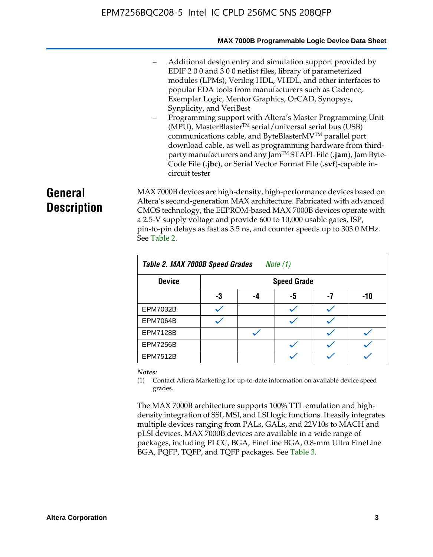#### **MAX 7000B Programmable Logic Device Data Sheet**

- Additional design entry and simulation support provided by EDIF 2 0 0 and 3 0 0 netlist files, library of parameterized modules (LPMs), Verilog HDL, VHDL, and other interfaces to popular EDA tools from manufacturers such as Cadence, Exemplar Logic, Mentor Graphics, OrCAD, Synopsys, Synplicity, and VeriBest
- Programming support with Altera's Master Programming Unit  $(MPU)$ , MasterBlaster<sup>TM</sup> serial/universal serial bus (USB) communications cable, and ByteBlasterMVTM parallel port download cable, as well as programming hardware from thirdparty manufacturers and any JamTM STAPL File (**.jam**), Jam Byte-Code File (**.jbc**), or Serial Vector Format File (**.svf**)-capable incircuit tester

# **General Description**

MAX 7000B devices are high-density, high-performance devices based on Altera's second-generation MAX architecture. Fabricated with advanced CMOS technology, the EEPROM-based MAX 7000B devices operate with a 2.5-V supply voltage and provide 600 to 10,000 usable gates, ISP, pin-to-pin delays as fast as 3.5 ns, and counter speeds up to 303.0 MHz. See Table 2.

| Table 2. MAX 7000B Speed Grades<br>Note $(1)$ |                    |    |    |    |     |  |  |
|-----------------------------------------------|--------------------|----|----|----|-----|--|--|
| <b>Device</b>                                 | <b>Speed Grade</b> |    |    |    |     |  |  |
|                                               | -3                 | -4 | -5 | -7 | -10 |  |  |
| <b>EPM7032B</b>                               |                    |    |    |    |     |  |  |
| <b>EPM7064B</b>                               |                    |    |    |    |     |  |  |
| <b>EPM7128B</b>                               |                    |    |    |    |     |  |  |
| <b>EPM7256B</b>                               |                    |    |    |    |     |  |  |
| <b>EPM7512B</b>                               |                    |    |    |    |     |  |  |

#### *Notes:*

(1) Contact Altera Marketing for up-to-date information on available device speed grades.

The MAX 7000B architecture supports 100% TTL emulation and highdensity integration of SSI, MSI, and LSI logic functions. It easily integrates multiple devices ranging from PALs, GALs, and 22V10s to MACH and pLSI devices. MAX 7000B devices are available in a wide range of packages, including PLCC, BGA, FineLine BGA, 0.8-mm Ultra FineLine BGA, PQFP, TQFP, and TQFP packages. See Table 3.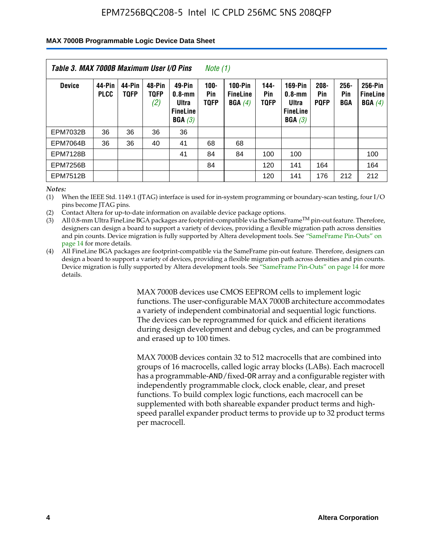#### **MAX 7000B Programmable Logic Device Data Sheet**

| Table 3. MAX 7000B Maximum User I/O Pins<br>Note (1) |                       |                       |                              |                                                        |                               |                                             |                               |                                                                    |                               |                    |                                      |
|------------------------------------------------------|-----------------------|-----------------------|------------------------------|--------------------------------------------------------|-------------------------------|---------------------------------------------|-------------------------------|--------------------------------------------------------------------|-------------------------------|--------------------|--------------------------------------|
| <b>Device</b>                                        | 44-Pin<br><b>PLCC</b> | 44-Pin<br><b>TOFP</b> | 48-Pin<br><b>TOFP</b><br>(2) | 49-Pin<br>0.8-mm<br>Ultra<br><b>FineLine</b><br>BGA(3) | $100 -$<br>Pin<br><b>TQFP</b> | <b>100-Pin</b><br><b>FineLine</b><br>BGA(4) | $144 -$<br>Pin<br><b>TOFP</b> | <b>169-Pin</b><br>$0.8 - mm$<br>Ultra<br><b>FineLine</b><br>BGA(3) | $208 -$<br>Pin<br><b>POFP</b> | 256-<br>Pin<br>BGA | 256-Pin<br><b>FineLine</b><br>BGA(4) |
| <b>EPM7032B</b>                                      | 36                    | 36                    | 36                           | 36                                                     |                               |                                             |                               |                                                                    |                               |                    |                                      |
| <b>EPM7064B</b>                                      | 36                    | 36                    | 40                           | 41                                                     | 68                            | 68                                          |                               |                                                                    |                               |                    |                                      |
| <b>EPM7128B</b>                                      |                       |                       |                              | 41                                                     | 84                            | 84                                          | 100                           | 100                                                                |                               |                    | 100                                  |
| <b>EPM7256B</b>                                      |                       |                       |                              |                                                        | 84                            |                                             | 120                           | 141                                                                | 164                           |                    | 164                                  |
| <b>EPM7512B</b>                                      |                       |                       |                              |                                                        |                               |                                             | 120                           | 141                                                                | 176                           | 212                | 212                                  |

*Notes:*

(1) When the IEEE Std. 1149.1 (JTAG) interface is used for in-system programming or boundary-scan testing, four I/O pins become JTAG pins.

(2) Contact Altera for up-to-date information on available device package options.

(3) All 0.8-mm Ultra FineLine BGA packages are footprint-compatible via the SameFrame<sup>TM</sup> pin-out feature. Therefore, designers can design a board to support a variety of devices, providing a flexible migration path across densities and pin counts. Device migration is fully supported by Altera development tools. See "SameFrame Pin-Outs" on page 14 for more details.

(4) All FineLine BGA packages are footprint-compatible via the SameFrame pin-out feature. Therefore, designers can design a board to support a variety of devices, providing a flexible migration path across densities and pin counts. Device migration is fully supported by Altera development tools. See "SameFrame Pin-Outs" on page 14 for more details.

> MAX 7000B devices use CMOS EEPROM cells to implement logic functions. The user-configurable MAX 7000B architecture accommodates a variety of independent combinatorial and sequential logic functions. The devices can be reprogrammed for quick and efficient iterations during design development and debug cycles, and can be programmed and erased up to 100 times.

> MAX 7000B devices contain 32 to 512 macrocells that are combined into groups of 16 macrocells, called logic array blocks (LABs). Each macrocell has a programmable-AND/fixed-OR array and a configurable register with independently programmable clock, clock enable, clear, and preset functions. To build complex logic functions, each macrocell can be supplemented with both shareable expander product terms and highspeed parallel expander product terms to provide up to 32 product terms per macrocell.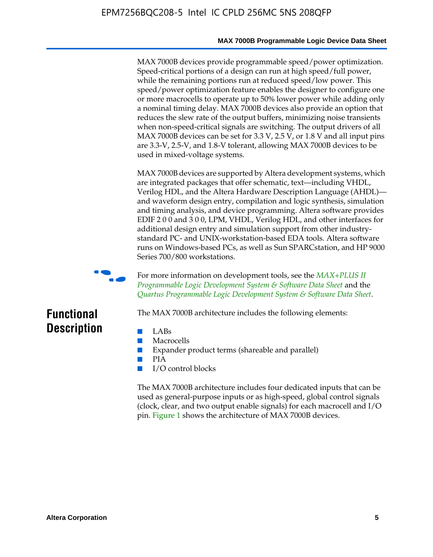MAX 7000B devices provide programmable speed/power optimization. Speed-critical portions of a design can run at high speed/full power, while the remaining portions run at reduced speed/low power. This speed/power optimization feature enables the designer to configure one or more macrocells to operate up to 50% lower power while adding only a nominal timing delay. MAX 7000B devices also provide an option that reduces the slew rate of the output buffers, minimizing noise transients when non-speed-critical signals are switching. The output drivers of all MAX 7000B devices can be set for 3.3 V, 2.5 V, or 1.8 V and all input pins are 3.3-V, 2.5-V, and 1.8-V tolerant, allowing MAX 7000B devices to be used in mixed-voltage systems.

MAX 7000B devices are supported by Altera development systems, which are integrated packages that offer schematic, text—including VHDL, Verilog HDL, and the Altera Hardware Description Language (AHDL) and waveform design entry, compilation and logic synthesis, simulation and timing analysis, and device programming. Altera software provides EDIF 2 0 0 and 3 0 0, LPM, VHDL, Verilog HDL, and other interfaces for additional design entry and simulation support from other industrystandard PC- and UNIX-workstation-based EDA tools. Altera software runs on Windows-based PCs, as well as Sun SPARCstation, and HP 9000 Series 700/800 workstations.



**For more information on development tools, see the** *MAX+PLUS II Programmable Logic Development System & Software Data Sheet* and the *Quartus Programmable Logic Development System & Software Data Sheet*.

# **Functional Description**

- LABs
- Macrocells
- Expander product terms (shareable and parallel)

The MAX 7000B architecture includes the following elements:

- PIA
- I/O control blocks

The MAX 7000B architecture includes four dedicated inputs that can be used as general-purpose inputs or as high-speed, global control signals (clock, clear, and two output enable signals) for each macrocell and I/O pin. Figure 1 shows the architecture of MAX 7000B devices.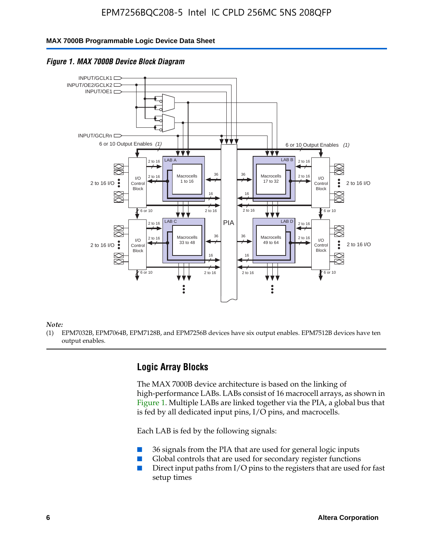#### **MAX 7000B Programmable Logic Device Data Sheet**



![](_page_6_Figure_3.jpeg)

#### *Note:*

(1) EPM7032B, EPM7064B, EPM7128B, and EPM7256B devices have six output enables. EPM7512B devices have ten output enables.

### **Logic Array Blocks**

The MAX 7000B device architecture is based on the linking of high-performance LABs. LABs consist of 16 macrocell arrays, as shown in Figure 1. Multiple LABs are linked together via the PIA, a global bus that is fed by all dedicated input pins,  $I/O$  pins, and macrocells.

Each LAB is fed by the following signals:

- 36 signals from the PIA that are used for general logic inputs
- Global controls that are used for secondary register functions
- Direct input paths from I/O pins to the registers that are used for fast setup times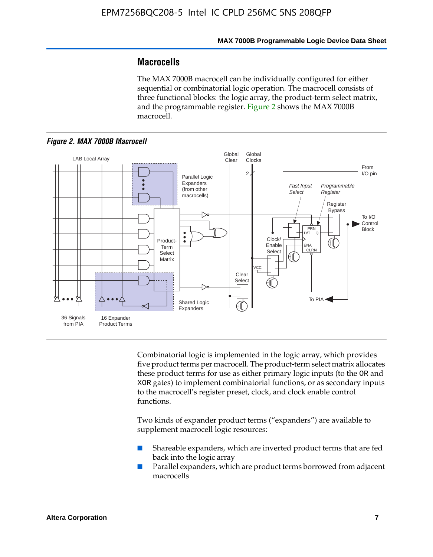### **Macrocells**

The MAX 7000B macrocell can be individually configured for either sequential or combinatorial logic operation. The macrocell consists of three functional blocks: the logic array, the product-term select matrix, and the programmable register. Figure 2 shows the MAX 7000B macrocell.

![](_page_7_Figure_4.jpeg)

![](_page_7_Figure_5.jpeg)

Combinatorial logic is implemented in the logic array, which provides five product terms per macrocell. The product-term select matrix allocates these product terms for use as either primary logic inputs (to the OR and XOR gates) to implement combinatorial functions, or as secondary inputs to the macrocell's register preset, clock, and clock enable control functions.

Two kinds of expander product terms ("expanders") are available to supplement macrocell logic resources:

- Shareable expanders, which are inverted product terms that are fed back into the logic array
- Parallel expanders, which are product terms borrowed from adjacent macrocells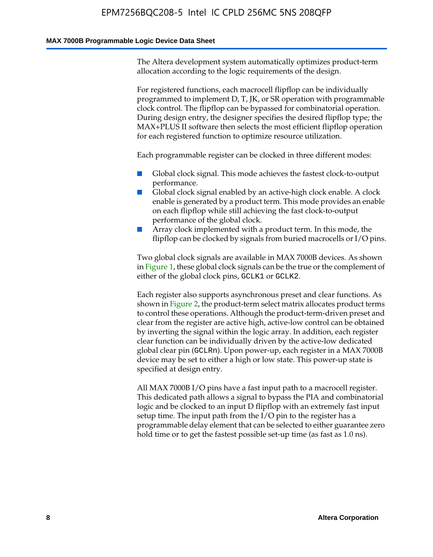The Altera development system automatically optimizes product-term allocation according to the logic requirements of the design.

For registered functions, each macrocell flipflop can be individually programmed to implement D, T, JK, or SR operation with programmable clock control. The flipflop can be bypassed for combinatorial operation. During design entry, the designer specifies the desired flipflop type; the MAX+PLUS II software then selects the most efficient flipflop operation for each registered function to optimize resource utilization.

Each programmable register can be clocked in three different modes:

- Global clock signal. This mode achieves the fastest clock-to-output performance.
- Global clock signal enabled by an active-high clock enable. A clock enable is generated by a product term. This mode provides an enable on each flipflop while still achieving the fast clock-to-output performance of the global clock.
- Array clock implemented with a product term. In this mode, the flipflop can be clocked by signals from buried macrocells or I/O pins.

Two global clock signals are available in MAX 7000B devices. As shown in Figure 1, these global clock signals can be the true or the complement of either of the global clock pins, GCLK1 or GCLK2.

Each register also supports asynchronous preset and clear functions. As shown in Figure 2, the product-term select matrix allocates product terms to control these operations. Although the product-term-driven preset and clear from the register are active high, active-low control can be obtained by inverting the signal within the logic array. In addition, each register clear function can be individually driven by the active-low dedicated global clear pin (GCLRn). Upon power-up, each register in a MAX 7000B device may be set to either a high or low state. This power-up state is specified at design entry.

All MAX 7000B I/O pins have a fast input path to a macrocell register. This dedicated path allows a signal to bypass the PIA and combinatorial logic and be clocked to an input D flipflop with an extremely fast input setup time. The input path from the I/O pin to the register has a programmable delay element that can be selected to either guarantee zero hold time or to get the fastest possible set-up time (as fast as 1.0 ns).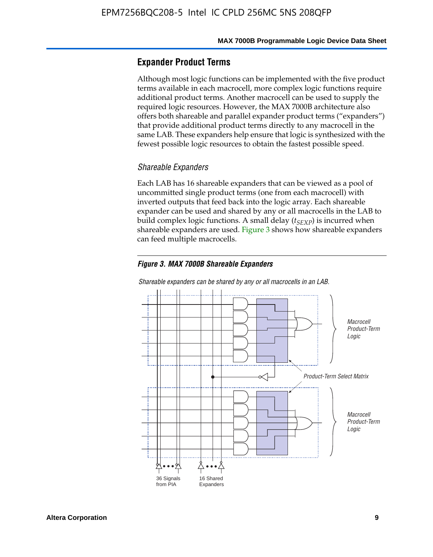### **Expander Product Terms**

Although most logic functions can be implemented with the five product terms available in each macrocell, more complex logic functions require additional product terms. Another macrocell can be used to supply the required logic resources. However, the MAX 7000B architecture also offers both shareable and parallel expander product terms ("expanders") that provide additional product terms directly to any macrocell in the same LAB. These expanders help ensure that logic is synthesized with the fewest possible logic resources to obtain the fastest possible speed.

#### *Shareable Expanders*

Each LAB has 16 shareable expanders that can be viewed as a pool of uncommitted single product terms (one from each macrocell) with inverted outputs that feed back into the logic array. Each shareable expander can be used and shared by any or all macrocells in the LAB to build complex logic functions. A small delay ( $t_{SEXP}$ ) is incurred when shareable expanders are used. Figure 3 shows how shareable expanders can feed multiple macrocells.

#### *Figure 3. MAX 7000B Shareable Expanders*

![](_page_9_Figure_7.jpeg)

![](_page_9_Figure_8.jpeg)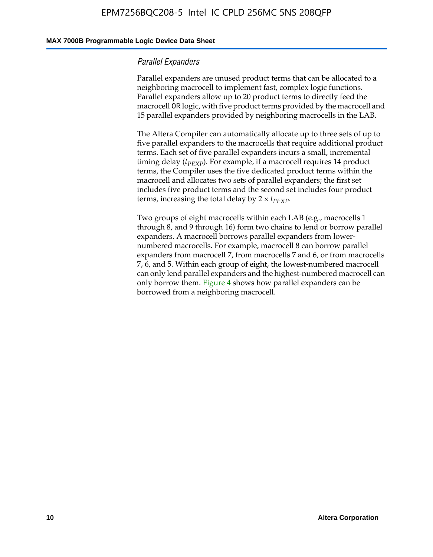#### **MAX 7000B Programmable Logic Device Data Sheet**

#### *Parallel Expanders*

Parallel expanders are unused product terms that can be allocated to a neighboring macrocell to implement fast, complex logic functions. Parallel expanders allow up to 20 product terms to directly feed the macrocell OR logic, with five product terms provided by the macrocell and 15 parallel expanders provided by neighboring macrocells in the LAB.

The Altera Compiler can automatically allocate up to three sets of up to five parallel expanders to the macrocells that require additional product terms. Each set of five parallel expanders incurs a small, incremental timing delay ( $t_{PEXP}$ ). For example, if a macrocell requires 14 product terms, the Compiler uses the five dedicated product terms within the macrocell and allocates two sets of parallel expanders; the first set includes five product terms and the second set includes four product terms, increasing the total delay by  $2 \times t_{PEXP}$ .

Two groups of eight macrocells within each LAB (e.g., macrocells 1 through 8, and 9 through 16) form two chains to lend or borrow parallel expanders. A macrocell borrows parallel expanders from lowernumbered macrocells. For example, macrocell 8 can borrow parallel expanders from macrocell 7, from macrocells 7 and 6, or from macrocells 7, 6, and 5. Within each group of eight, the lowest-numbered macrocell can only lend parallel expanders and the highest-numbered macrocell can only borrow them. Figure 4 shows how parallel expanders can be borrowed from a neighboring macrocell.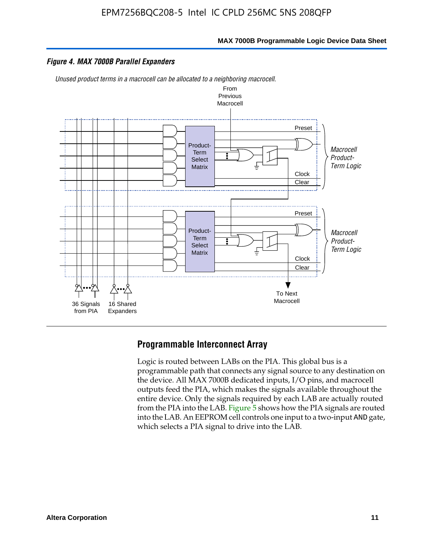![](_page_11_Figure_1.jpeg)

#### *Figure 4. MAX 7000B Parallel Expanders*

*Unused product terms in a macrocell can be allocated to a neighboring macrocell.*

![](_page_11_Figure_4.jpeg)

### **Programmable Interconnect Array**

Logic is routed between LABs on the PIA. This global bus is a programmable path that connects any signal source to any destination on the device. All MAX 7000B dedicated inputs, I/O pins, and macrocell outputs feed the PIA, which makes the signals available throughout the entire device. Only the signals required by each LAB are actually routed from the PIA into the LAB. Figure 5 shows how the PIA signals are routed into the LAB. An EEPROM cell controls one input to a two-input AND gate, which selects a PIA signal to drive into the LAB.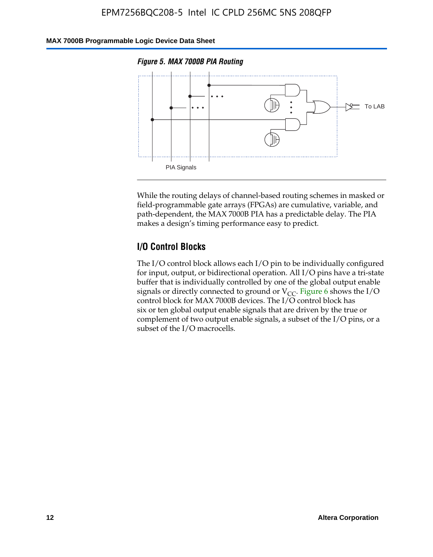### **MAX 7000B Programmable Logic Device Data Sheet**

![](_page_12_Figure_2.jpeg)

![](_page_12_Figure_3.jpeg)

While the routing delays of channel-based routing schemes in masked or field-programmable gate arrays (FPGAs) are cumulative, variable, and path-dependent, the MAX 7000B PIA has a predictable delay. The PIA makes a design's timing performance easy to predict.

### **I/O Control Blocks**

The I/O control block allows each I/O pin to be individually configured for input, output, or bidirectional operation. All I/O pins have a tri-state buffer that is individually controlled by one of the global output enable signals or directly connected to ground or  $V_{CC}$ . Figure 6 shows the I/O control block for MAX 7000B devices. The I/O control block has six or ten global output enable signals that are driven by the true or complement of two output enable signals, a subset of the I/O pins, or a subset of the I/O macrocells.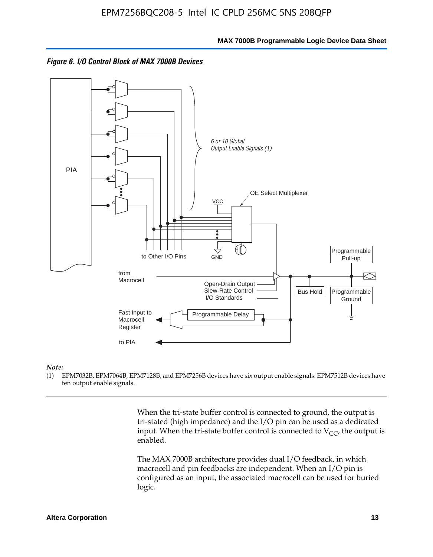![](_page_13_Figure_2.jpeg)

![](_page_13_Figure_3.jpeg)

#### *Note:*

(1) EPM7032B, EPM7064B, EPM7128B, and EPM7256B devices have six output enable signals. EPM7512B devices have ten output enable signals.

> When the tri-state buffer control is connected to ground, the output is tri-stated (high impedance) and the I/O pin can be used as a dedicated input. When the tri-state buffer control is connected to  $V_{CC}$ , the output is enabled.

The MAX 7000B architecture provides dual I/O feedback, in which macrocell and pin feedbacks are independent. When an I/O pin is configured as an input, the associated macrocell can be used for buried logic.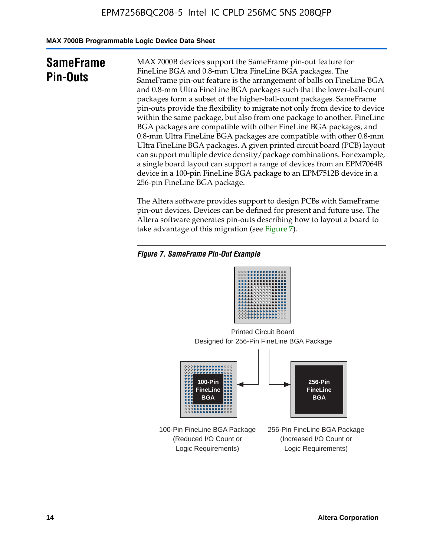**MAX 7000B Programmable Logic Device Data Sheet**

# **SameFrame Pin-Outs**

MAX 7000B devices support the SameFrame pin-out feature for FineLine BGA and 0.8-mm Ultra FineLine BGA packages. The SameFrame pin-out feature is the arrangement of balls on FineLine BGA and 0.8-mm Ultra FineLine BGA packages such that the lower-ball-count packages form a subset of the higher-ball-count packages. SameFrame pin-outs provide the flexibility to migrate not only from device to device within the same package, but also from one package to another. FineLine BGA packages are compatible with other FineLine BGA packages, and 0.8-mm Ultra FineLine BGA packages are compatible with other 0.8-mm Ultra FineLine BGA packages. A given printed circuit board (PCB) layout can support multiple device density/package combinations. For example, a single board layout can support a range of devices from an EPM7064B device in a 100-pin FineLine BGA package to an EPM7512B device in a 256-pin FineLine BGA package.

The Altera software provides support to design PCBs with SameFrame pin-out devices. Devices can be defined for present and future use. The Altera software generates pin-outs describing how to layout a board to take advantage of this migration (see Figure 7).

### *Figure 7. SameFrame Pin-Out Example*

| 0000000000000000<br>00000000000000000<br>0000000000000000<br><br><br>000000000000000<br><br>000000000000000<br> |
|-----------------------------------------------------------------------------------------------------------------|
| 000000000000000<br>000000000000000<br><br><b></b><br>000000000000000                                            |

Designed for 256-Pin FineLine BGA Package Printed Circuit Board

![](_page_14_Figure_8.jpeg)

100-Pin FineLine BGA Package (Reduced I/O Count or Logic Requirements)

256-Pin FineLine BGA Package (Increased I/O Count or Logic Requirements)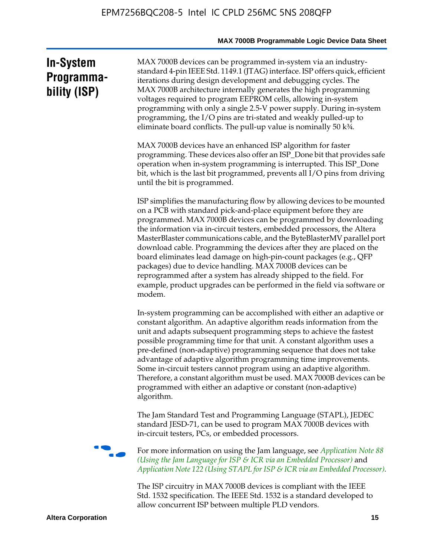# **In-System Programmability (ISP)**

MAX 7000B devices can be programmed in-system via an industrystandard 4-pin IEEE Std. 1149.1 (JTAG) interface. ISP offers quick, efficient iterations during design development and debugging cycles. The MAX 7000B architecture internally generates the high programming voltages required to program EEPROM cells, allowing in-system programming with only a single 2.5-V power supply. During in-system programming, the I/O pins are tri-stated and weakly pulled-up to eliminate board conflicts. The pull-up value is nominally 50 k¾.

MAX 7000B devices have an enhanced ISP algorithm for faster programming. These devices also offer an ISP\_Done bit that provides safe operation when in-system programming is interrupted. This ISP\_Done bit, which is the last bit programmed, prevents all I/O pins from driving until the bit is programmed.

ISP simplifies the manufacturing flow by allowing devices to be mounted on a PCB with standard pick-and-place equipment before they are programmed. MAX 7000B devices can be programmed by downloading the information via in-circuit testers, embedded processors, the Altera MasterBlaster communications cable, and the ByteBlasterMV parallel port download cable. Programming the devices after they are placed on the board eliminates lead damage on high-pin-count packages (e.g., QFP packages) due to device handling. MAX 7000B devices can be reprogrammed after a system has already shipped to the field. For example, product upgrades can be performed in the field via software or modem.

In-system programming can be accomplished with either an adaptive or constant algorithm. An adaptive algorithm reads information from the unit and adapts subsequent programming steps to achieve the fastest possible programming time for that unit. A constant algorithm uses a pre-defined (non-adaptive) programming sequence that does not take advantage of adaptive algorithm programming time improvements. Some in-circuit testers cannot program using an adaptive algorithm. Therefore, a constant algorithm must be used. MAX 7000B devices can be programmed with either an adaptive or constant (non-adaptive) algorithm.

The Jam Standard Test and Programming Language (STAPL), JEDEC standard JESD-71, can be used to program MAX 7000B devices with in-circuit testers, PCs, or embedded processors.

f For more information on using the Jam language, see *Application Note 88 (Using the Jam Language for ISP & ICR via an Embedded Processor)* and *Application Note 122 (Using STAPL for ISP & ICR via an Embedded Processor).*

The ISP circuitry in MAX 7000B devices is compliant with the IEEE Std. 1532 specification. The IEEE Std. 1532 is a standard developed to allow concurrent ISP between multiple PLD vendors.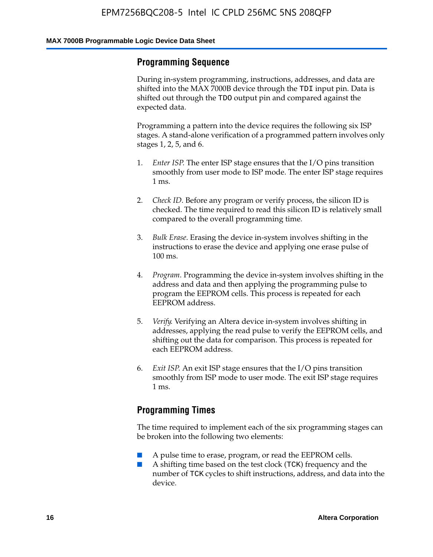### **Programming Sequence**

During in-system programming, instructions, addresses, and data are shifted into the MAX 7000B device through the TDI input pin. Data is shifted out through the TDO output pin and compared against the expected data.

Programming a pattern into the device requires the following six ISP stages. A stand-alone verification of a programmed pattern involves only stages 1, 2, 5, and 6.

- 1. *Enter ISP*. The enter ISP stage ensures that the I/O pins transition smoothly from user mode to ISP mode. The enter ISP stage requires 1 ms.
- 2. *Check ID*. Before any program or verify process, the silicon ID is checked. The time required to read this silicon ID is relatively small compared to the overall programming time.
- 3. *Bulk Erase*. Erasing the device in-system involves shifting in the instructions to erase the device and applying one erase pulse of 100 ms.
- 4. *Program*. Programming the device in-system involves shifting in the address and data and then applying the programming pulse to program the EEPROM cells. This process is repeated for each EEPROM address.
- 5. *Verify*. Verifying an Altera device in-system involves shifting in addresses, applying the read pulse to verify the EEPROM cells, and shifting out the data for comparison. This process is repeated for each EEPROM address.
- 6. *Exit ISP*. An exit ISP stage ensures that the I/O pins transition smoothly from ISP mode to user mode. The exit ISP stage requires 1 ms.

### **Programming Times**

The time required to implement each of the six programming stages can be broken into the following two elements:

- A pulse time to erase, program, or read the EEPROM cells.
- A shifting time based on the test clock (TCK) frequency and the number of TCK cycles to shift instructions, address, and data into the device.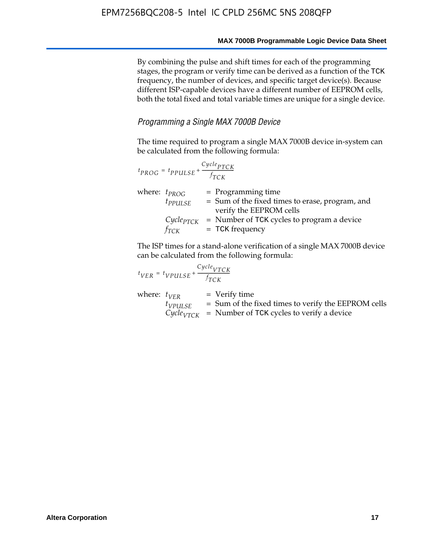By combining the pulse and shift times for each of the programming stages, the program or verify time can be derived as a function of the TCK frequency, the number of devices, and specific target device(s). Because different ISP-capable devices have a different number of EEPROM cells, both the total fixed and total variable times are unique for a single device.

### *Programming a Single MAX 7000B Device*

The time required to program a single MAX 7000B device in-system can be calculated from the following formula:

| $t_{PROG} = t_{PPULSE} + \frac{Cycle_{PTCK}}{f_{TCK}}$ |                                                                                                    |
|--------------------------------------------------------|----------------------------------------------------------------------------------------------------|
| where: $t_{PROG}$<br>$t_{PPULSE}$                      | $=$ Programming time<br>= Sum of the fixed times to erase, program, and<br>verify the EEPROM cells |
| $Cycle_{PTCK}$<br>fтск                                 | = Number of TCK cycles to program a device<br>$=$ TCK frequency                                    |

The ISP times for a stand-alone verification of a single MAX 7000B device can be calculated from the following formula:

| $t_{VER} = t_{VPULSE} + \frac{t_{TCK}}{f_{TCK}}$ | $Cycle_{VTCK}$                                                                                                                    |
|--------------------------------------------------|-----------------------------------------------------------------------------------------------------------------------------------|
| where: $t_{VFR}$<br>$t_{VPULSE}$                 | $=$ Verify time<br>$=$ Sum of the fixed times to verify the EEPROM cells<br>$CycleVTCK$ = Number of TCK cycles to verify a device |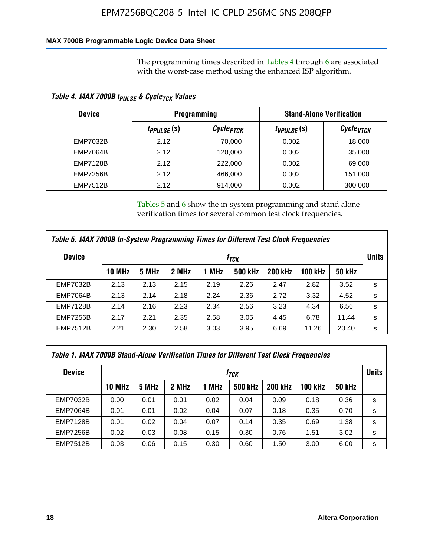### **MAX 7000B Programmable Logic Device Data Sheet**

The programming times described in Tables 4 through 6 are associated with the worst-case method using the enhanced ISP algorithm.

| Table 4. MAX 7000B t <sub>PULSE</sub> & Cycle <sub>TCK</sub> Values |                               |                       |                 |                                 |  |  |  |  |
|---------------------------------------------------------------------|-------------------------------|-----------------------|-----------------|---------------------------------|--|--|--|--|
| <b>Device</b>                                                       | <b>Programming</b>            |                       |                 | <b>Stand-Alone Verification</b> |  |  |  |  |
|                                                                     | <i>t<sub>PPULSE</sub></i> (s) | Cycle <sub>PTCK</sub> | $t_{VPULSE}(s)$ | Cycle <sub>vTCK</sub>           |  |  |  |  |
| EMP7032B                                                            | 2.12                          | 70,000                | 0.002           | 18,000                          |  |  |  |  |
| <b>EMP7064B</b>                                                     | 2.12                          | 120,000               | 0.002           | 35,000                          |  |  |  |  |
| <b>EMP7128B</b>                                                     | 2.12                          | 222,000               | 0.002           | 69,000                          |  |  |  |  |
| <b>EMP7256B</b>                                                     | 2.12                          | 466,000               | 0.002           | 151,000                         |  |  |  |  |
| <b>EMP7512B</b>                                                     | 2.12                          | 914,000               | 0.002           | 300,000                         |  |  |  |  |

Tables 5 and 6 show the in-system programming and stand alone verification times for several common test clock frequencies.

| Table 5. MAX 7000B In-System Programming Times for Different Test Clock Frequencies |        |       |       |       |                |                |                |               |              |
|-------------------------------------------------------------------------------------|--------|-------|-------|-------|----------------|----------------|----------------|---------------|--------------|
| <b>Device</b>                                                                       | İтск   |       |       |       |                |                |                |               | <b>Units</b> |
|                                                                                     | 10 MHz | 5 MHz | 2 MHz | 1 MHz | <b>500 kHz</b> | <b>200 kHz</b> | <b>100 kHz</b> | <b>50 kHz</b> |              |
| <b>EMP7032B</b>                                                                     | 2.13   | 2.13  | 2.15  | 2.19  | 2.26           | 2.47           | 2.82           | 3.52          | s            |
| <b>EMP7064B</b>                                                                     | 2.13   | 2.14  | 2.18  | 2.24  | 2.36           | 2.72           | 3.32           | 4.52          | s            |
| <b>EMP7128B</b>                                                                     | 2.14   | 2.16  | 2.23  | 2.34  | 2.56           | 3.23           | 4.34           | 6.56          | s            |
| <b>EMP7256B</b>                                                                     | 2.17   | 2.21  | 2.35  | 2.58  | 3.05           | 4.45           | 6.78           | 11.44         | s            |
| <b>EMP7512B</b>                                                                     | 2.21   | 2.30  | 2.58  | 3.03  | 3.95           | 6.69           | 11.26          | 20.40         | s            |

| Table 1. MAX 7000B Stand-Alone Verification Times for Different Test Clock Frequencies |                  |       |       |       |                |                |         |               |   |
|----------------------------------------------------------------------------------------|------------------|-------|-------|-------|----------------|----------------|---------|---------------|---|
| <b>Device</b>                                                                          | t <sub>тск</sub> |       |       |       |                |                |         |               |   |
|                                                                                        | <b>10 MHz</b>    | 5 MHz | 2 MHz | 1 MHz | <b>500 kHz</b> | <b>200 kHz</b> | 100 kHz | <b>50 kHz</b> |   |
| <b>EMP7032B</b>                                                                        | 0.00             | 0.01  | 0.01  | 0.02  | 0.04           | 0.09           | 0.18    | 0.36          | s |
| <b>EMP7064B</b>                                                                        | 0.01             | 0.01  | 0.02  | 0.04  | 0.07           | 0.18           | 0.35    | 0.70          | s |
| <b>EMP7128B</b>                                                                        | 0.01             | 0.02  | 0.04  | 0.07  | 0.14           | 0.35           | 0.69    | 1.38          | s |
| <b>EMP7256B</b>                                                                        | 0.02             | 0.03  | 0.08  | 0.15  | 0.30           | 0.76           | 1.51    | 3.02          | s |
| <b>EMP7512B</b>                                                                        | 0.03             | 0.06  | 0.15  | 0.30  | 0.60           | 1.50           | 3.00    | 6.00          | s |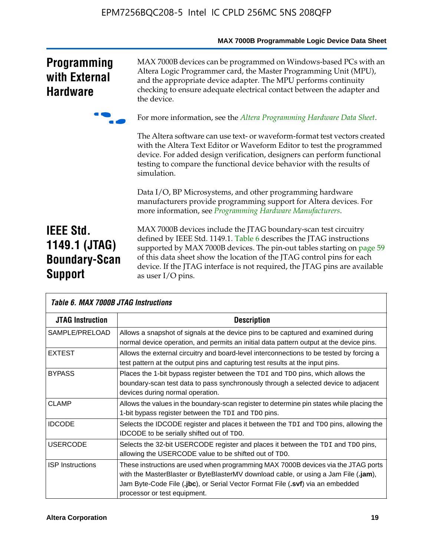|                                                                             | MAX 7000B Programmable Logic Device Data Sheet                                                                                                                                                                                                                                                                                                                                                 |
|-----------------------------------------------------------------------------|------------------------------------------------------------------------------------------------------------------------------------------------------------------------------------------------------------------------------------------------------------------------------------------------------------------------------------------------------------------------------------------------|
| <b>Programming</b><br>with External<br><b>Hardware</b>                      | MAX 7000B devices can be programmed on Windows-based PCs with an<br>Altera Logic Programmer card, the Master Programming Unit (MPU),<br>and the appropriate device adapter. The MPU performs continuity<br>checking to ensure adequate electrical contact between the adapter and<br>the device.                                                                                               |
|                                                                             | For more information, see the Altera Programming Hardware Data Sheet.                                                                                                                                                                                                                                                                                                                          |
|                                                                             | The Altera software can use text- or waveform-format test vectors created<br>with the Altera Text Editor or Waveform Editor to test the programmed<br>device. For added design verification, designers can perform functional<br>testing to compare the functional device behavior with the results of<br>simulation.                                                                          |
|                                                                             | Data I/O, BP Microsystems, and other programming hardware<br>manufacturers provide programming support for Altera devices. For<br>more information, see Programming Hardware Manufacturers.                                                                                                                                                                                                    |
| <b>IEEE Std.</b><br>1149.1 (JTAG)<br><b>Boundary-Scan</b><br><b>Support</b> | MAX 7000B devices include the JTAG boundary-scan test circuitry<br>defined by IEEE Std. 1149.1. Table 6 describes the JTAG instructions<br>supported by MAX 7000B devices. The pin-out tables starting on page 59<br>of this data sheet show the location of the JTAG control pins for each<br>device. If the JTAG interface is not required, the JTAG pins are available<br>as user I/O pins. |

| Table 6. MAX 7000B JTAG Instructions |                                                                                                                                                                                                                                                                                            |  |  |  |  |  |
|--------------------------------------|--------------------------------------------------------------------------------------------------------------------------------------------------------------------------------------------------------------------------------------------------------------------------------------------|--|--|--|--|--|
| <b>JTAG Instruction</b>              | <b>Description</b>                                                                                                                                                                                                                                                                         |  |  |  |  |  |
| SAMPLE/PRELOAD                       | Allows a snapshot of signals at the device pins to be captured and examined during<br>normal device operation, and permits an initial data pattern output at the device pins.                                                                                                              |  |  |  |  |  |
| <b>EXTEST</b>                        | Allows the external circuitry and board-level interconnections to be tested by forcing a<br>test pattern at the output pins and capturing test results at the input pins.                                                                                                                  |  |  |  |  |  |
| <b>BYPASS</b>                        | Places the 1-bit bypass register between the TDI and TDO pins, which allows the<br>boundary-scan test data to pass synchronously through a selected device to adjacent<br>devices during normal operation.                                                                                 |  |  |  |  |  |
| <b>CLAMP</b>                         | Allows the values in the boundary-scan register to determine pin states while placing the<br>1-bit bypass register between the TDI and TDO pins.                                                                                                                                           |  |  |  |  |  |
| <b>IDCODE</b>                        | Selects the IDCODE register and places it between the TDI and TDO pins, allowing the<br><b>IDCODE</b> to be serially shifted out of TDO.                                                                                                                                                   |  |  |  |  |  |
| <b>USERCODE</b>                      | Selects the 32-bit USERCODE register and places it between the TDI and TDO pins,<br>allowing the USERCODE value to be shifted out of TDO.                                                                                                                                                  |  |  |  |  |  |
| <b>ISP</b> Instructions              | These instructions are used when programming MAX 7000B devices via the JTAG ports<br>with the MasterBlaster or ByteBlasterMV download cable, or using a Jam File (.jam),<br>Jam Byte-Code File (.jbc), or Serial Vector Format File (.svf) via an embedded<br>processor or test equipment. |  |  |  |  |  |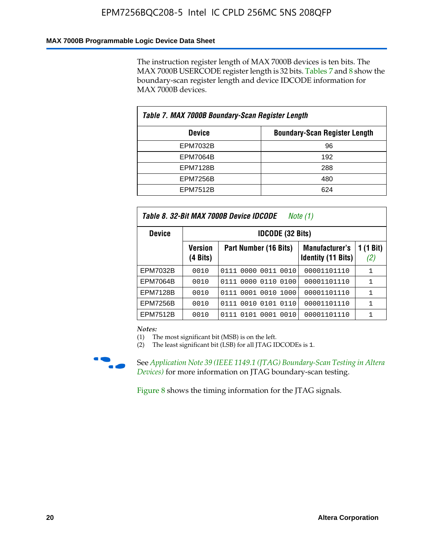### **MAX 7000B Programmable Logic Device Data Sheet**

The instruction register length of MAX 7000B devices is ten bits. The MAX 7000B USERCODE register length is 32 bits. Tables 7 and 8 show the boundary-scan register length and device IDCODE information for MAX 7000B devices.

| Table 7. MAX 7000B Boundary-Scan Register Length |                                      |  |  |  |  |
|--------------------------------------------------|--------------------------------------|--|--|--|--|
| <b>Device</b>                                    | <b>Boundary-Scan Register Length</b> |  |  |  |  |
| EPM7032B                                         | 96                                   |  |  |  |  |
| <b>EPM7064B</b>                                  | 192                                  |  |  |  |  |
| <b>EPM7128B</b>                                  | 288                                  |  |  |  |  |
| <b>EPM7256B</b>                                  | 480                                  |  |  |  |  |
| <b>EPM7512B</b>                                  | 624                                  |  |  |  |  |

| Table 8. 32-Bit MAX 7000B Device IDCODE<br>Note (1) |                            |                           |                                             |                          |  |  |  |
|-----------------------------------------------------|----------------------------|---------------------------|---------------------------------------------|--------------------------|--|--|--|
| <b>Device</b>                                       |                            | <b>IDCODE (32 Bits)</b>   |                                             |                          |  |  |  |
|                                                     | <b>Version</b><br>(4 Bits) | Part Number (16 Bits)     | Manufacturer's<br><b>Identity (11 Bits)</b> | $(1 \text{ Bit})$<br>(2) |  |  |  |
| EPM7032B                                            | 0010                       | 0111 0000 0011 0010       | 00001101110                                 | 1                        |  |  |  |
| <b>EPM7064B</b>                                     | 0010                       | 0111 0000 0110 0100       | 00001101110                                 | 1                        |  |  |  |
| <b>EPM7128B</b>                                     | 0010                       | 0001 0010 1000<br>0111    | 00001101110                                 | 1                        |  |  |  |
| <b>EPM7256B</b>                                     | 0010                       | 0111 0010 0101 0110       | 00001101110                                 | 1                        |  |  |  |
| <b>EPM7512B</b>                                     | 0010                       | 0010<br>0111 0101<br>0001 | 00001101110                                 | 1                        |  |  |  |

*Notes:*

(1) The most significant bit (MSB) is on the left.

(2) The least significant bit (LSB) for all JTAG IDCODEs is 1.

![](_page_20_Picture_8.jpeg)

**f See Application Note 39 (IEEE 1149.1 (JTAG) Boundary-Scan Testing in Altera** *Devices)* for more information on JTAG boundary-scan testing.

Figure 8 shows the timing information for the JTAG signals.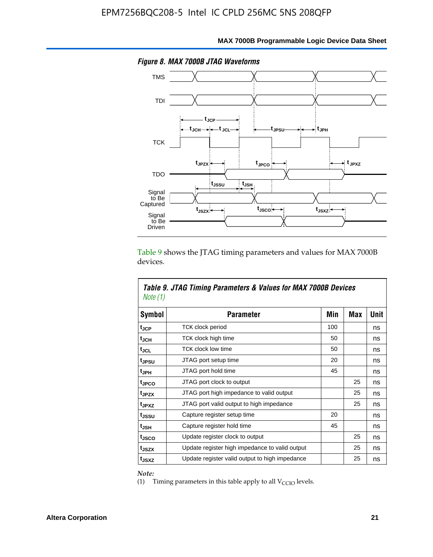![](_page_21_Figure_1.jpeg)

**MAX 7000B Programmable Logic Device Data Sheet**

Table 9 shows the JTAG timing parameters and values for MAX 7000B devices.

| Note (1)          | Table 9. JTAG Timing Parameters & Values for MAX 7000B Devices |     |     |      |
|-------------------|----------------------------------------------------------------|-----|-----|------|
| Symbol            | <b>Parameter</b>                                               | Min | Max | Unit |
| t <sub>JCP</sub>  | TCK clock period                                               | 100 |     | ns   |
| $t_{\rm JCH}$     | TCK clock high time                                            | 50  |     | ns   |
| tjcl              | <b>TCK clock low time</b>                                      | 50  |     | ns   |
| tjesu             | JTAG port setup time                                           | 20  |     | ns   |
| t <sub>JPH</sub>  | JTAG port hold time                                            | 45  |     | ns   |
| tjpco             | JTAG port clock to output                                      |     | 25  | ns   |
| t <sub>JPZX</sub> | JTAG port high impedance to valid output                       |     | 25  | ns   |
| t <sub>JPXZ</sub> | JTAG port valid output to high impedance                       |     | 25  | ns   |
| t <sub>JSSU</sub> | Capture register setup time                                    | 20  |     | ns   |
| tjsh              | Capture register hold time                                     | 45  |     | ns   |
| t <sub>JSCO</sub> | Update register clock to output                                |     | 25  | ns   |
| t <sub>JSZX</sub> | Update register high impedance to valid output                 |     | 25  | ns   |
| t <sub>JSXZ</sub> | Update register valid output to high impedance                 |     | 25  | ns   |

*Note:*

Г

(1) Timing parameters in this table apply to all  $V_{\text{CCIO}}$  levels.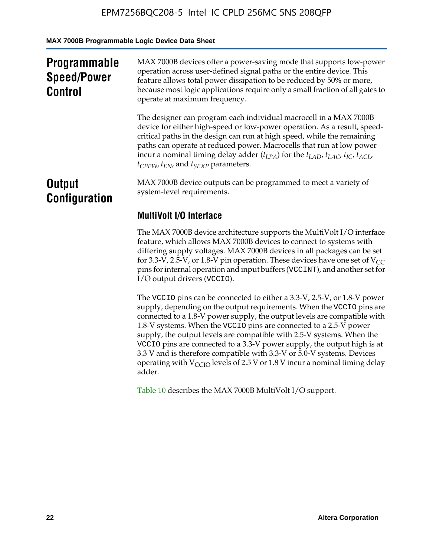**MAX 7000B Programmable Logic Device Data Sheet**

| <b>Programmable</b><br><b>Speed/Power</b><br><b>Control</b> | MAX 7000B devices offer a power-saving mode that supports low-power<br>operation across user-defined signal paths or the entire device. This<br>feature allows total power dissipation to be reduced by 50% or more,<br>because most logic applications require only a small fraction of all gates to<br>operate at maximum frequency.                                                                                                                          |
|-------------------------------------------------------------|-----------------------------------------------------------------------------------------------------------------------------------------------------------------------------------------------------------------------------------------------------------------------------------------------------------------------------------------------------------------------------------------------------------------------------------------------------------------|
|                                                             | The designer can program each individual macrocell in a MAX 7000B<br>device for either high-speed or low-power operation. As a result, speed-<br>critical paths in the design can run at high speed, while the remaining<br>paths can operate at reduced power. Macrocells that run at low power<br>incur a nominal timing delay adder $(t_{LPA})$ for the $t_{LAD}$ , $t_{LAC}$ , $t_{IC}$ , $t_{ACL}$ ,<br>$t_{CPPW}$ , $t_{EN}$ , and $t_{SEXP}$ parameters. |
| <b>Output</b><br><b>Configuration</b>                       | MAX 7000B device outputs can be programmed to meet a variety of<br>system-level requirements.                                                                                                                                                                                                                                                                                                                                                                   |
|                                                             | <b>MultiVolt I/O Interface</b>                                                                                                                                                                                                                                                                                                                                                                                                                                  |
|                                                             | The MAX 7000B device architecture supports the MultiVolt I/O interface<br>feature, which allows MAX 7000B devices to connect to systems with<br>differing supply voltages. MAX 7000B devices in all packages can be set<br>for 3.3-V, 2.5-V, or 1.8-V pin operation. These devices have one set of $V_{CC}$<br>pins for internal operation and input buffers (VCCINT), and another set for<br>I/O output drivers (VCCIO).                                       |

The VCCIO pins can be connected to either a 3.3-V, 2.5-V, or 1.8-V power supply, depending on the output requirements. When the VCCIO pins are connected to a 1.8-V power supply, the output levels are compatible with 1.8-V systems. When the VCCIO pins are connected to a 2.5- $\hat{V}$  power supply, the output levels are compatible with 2.5-V systems. When the VCCIO pins are connected to a 3.3-V power supply, the output high is at 3.3 V and is therefore compatible with 3.3-V or 5.0-V systems. Devices operating with  $V_{\text{CCIO}}$  levels of 2.5 V or 1.8 V incur a nominal timing delay adder.

Table 10 describes the MAX 7000B MultiVolt I/O support.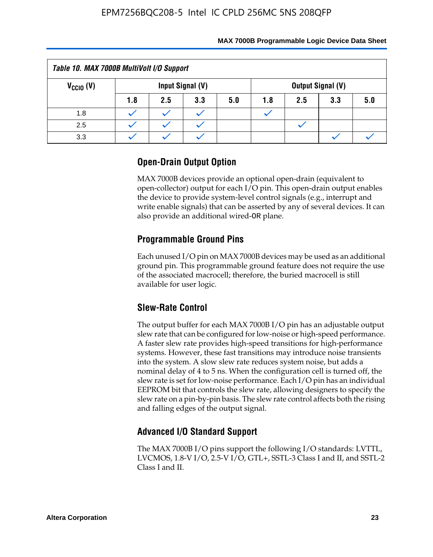| Table 10. MAX 7000B MultiVolt I/O Support |     |     |                  |     |     |     |                          |     |
|-------------------------------------------|-----|-----|------------------|-----|-----|-----|--------------------------|-----|
| $V_{\text{CCIO}}(V)$                      |     |     | Input Signal (V) |     |     |     | <b>Output Signal (V)</b> |     |
|                                           | 1.8 | 2.5 | 3.3              | 5.0 | 1.8 | 2.5 | 3.3                      | 5.0 |
| 1.8                                       |     |     |                  |     |     |     |                          |     |
| 2.5                                       |     |     |                  |     |     |     |                          |     |
| 3.3                                       |     |     |                  |     |     |     |                          |     |

### **Open-Drain Output Option**

MAX 7000B devices provide an optional open-drain (equivalent to open-collector) output for each I/O pin. This open-drain output enables the device to provide system-level control signals (e.g., interrupt and write enable signals) that can be asserted by any of several devices. It can also provide an additional wired-OR plane.

### **Programmable Ground Pins**

Each unused I/O pin on MAX 7000B devices may be used as an additional ground pin. This programmable ground feature does not require the use of the associated macrocell; therefore, the buried macrocell is still available for user logic.

### **Slew-Rate Control**

The output buffer for each MAX 7000B I/O pin has an adjustable output slew rate that can be configured for low-noise or high-speed performance. A faster slew rate provides high-speed transitions for high-performance systems. However, these fast transitions may introduce noise transients into the system. A slow slew rate reduces system noise, but adds a nominal delay of 4 to 5 ns. When the configuration cell is turned off, the slew rate is set for low-noise performance. Each I/O pin has an individual EEPROM bit that controls the slew rate, allowing designers to specify the slew rate on a pin-by-pin basis. The slew rate control affects both the rising and falling edges of the output signal.

### **Advanced I/O Standard Support**

The MAX 7000B I/O pins support the following I/O standards: LVTTL, LVCMOS, 1.8-V I/O, 2.5-V I/O, GTL+, SSTL-3 Class I and II, and SSTL-2 Class I and II.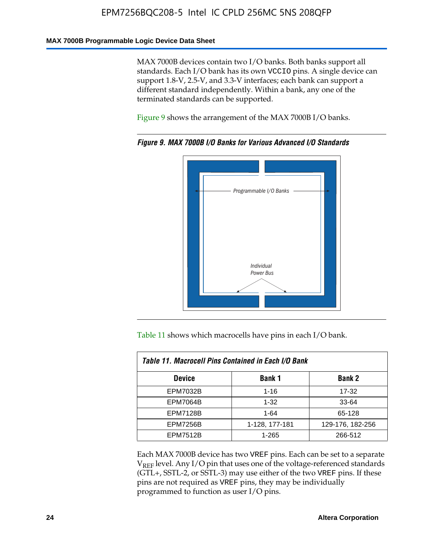#### **MAX 7000B Programmable Logic Device Data Sheet**

MAX 7000B devices contain two I/O banks. Both banks support all standards. Each I/O bank has its own VCCIO pins. A single device can support 1.8-V, 2.5-V, and 3.3-V interfaces; each bank can support a different standard independently. Within a bank, any one of the terminated standards can be supported.

Figure 9 shows the arrangement of the MAX 7000B I/O banks.

![](_page_24_Figure_4.jpeg)

*Figure 9. MAX 7000B I/O Banks for Various Advanced I/O Standards*

Table 11 shows which macrocells have pins in each I/O bank.

| Table 11. Macrocell Pins Contained in Each I/O Bank |                |                  |  |  |
|-----------------------------------------------------|----------------|------------------|--|--|
| <b>Device</b>                                       | Bank 1         | <b>Bank 2</b>    |  |  |
| <b>EPM7032B</b>                                     | $1 - 16$       | 17-32            |  |  |
| <b>EPM7064B</b>                                     | $1 - 32$       | 33-64            |  |  |
| <b>EPM7128B</b>                                     | $1 - 64$       | 65-128           |  |  |
| <b>EPM7256B</b>                                     | 1-128, 177-181 | 129-176, 182-256 |  |  |
| <b>EPM7512B</b>                                     | 1-265          | 266-512          |  |  |

Each MAX 7000B device has two VREF pins. Each can be set to a separate  $V_{REF}$  level. Any I/O pin that uses one of the voltage-referenced standards (GTL+, SSTL-2, or SSTL-3) may use either of the two VREF pins. If these pins are not required as VREF pins, they may be individually programmed to function as user I/O pins.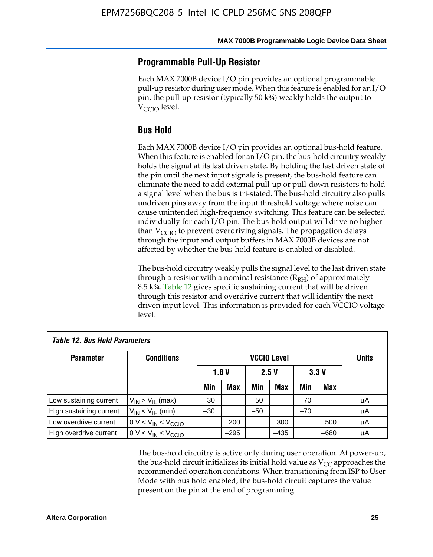### **Programmable Pull-Up Resistor**

Each MAX 7000B device I/O pin provides an optional programmable pull-up resistor during user mode. When this feature is enabled for an I/O pin, the pull-up resistor (typically 50 k¾) weakly holds the output to  $V_{\text{CCIO}}$  level.

### **Bus Hold**

Each MAX 7000B device I/O pin provides an optional bus-hold feature. When this feature is enabled for an I/O pin, the bus-hold circuitry weakly holds the signal at its last driven state. By holding the last driven state of the pin until the next input signals is present, the bus-hold feature can eliminate the need to add external pull-up or pull-down resistors to hold a signal level when the bus is tri-stated. The bus-hold circuitry also pulls undriven pins away from the input threshold voltage where noise can cause unintended high-frequency switching. This feature can be selected individually for each I/O pin. The bus-hold output will drive no higher than  $V_{\text{C}CD}$  to prevent overdriving signals. The propagation delays through the input and output buffers in MAX 7000B devices are not affected by whether the bus-hold feature is enabled or disabled.

The bus-hold circuitry weakly pulls the signal level to the last driven state through a resistor with a nominal resistance  $(R<sub>BH</sub>)$  of approximately 8.5 k¾. Table 12 gives specific sustaining current that will be driven through this resistor and overdrive current that will identify the next driven input level. This information is provided for each VCCIO voltage level.

| <b>Table 12. Bus Hold Parameters</b> |                           |       |            |       |                    |       |            |              |
|--------------------------------------|---------------------------|-------|------------|-------|--------------------|-------|------------|--------------|
| <b>Parameter</b>                     | <b>Conditions</b>         |       |            |       | <b>VCCIO Level</b> |       |            | <b>Units</b> |
|                                      |                           |       | 1.8V       |       | 2.5V               |       | 3.3V       |              |
|                                      |                           | Min   | <b>Max</b> | Min   | <b>Max</b>         | Min   | <b>Max</b> |              |
| Low sustaining current               | $V_{IN}$ > $V_{II}$ (max) | 30    |            | 50    |                    | 70    |            | μA           |
| High sustaining current              | $V_{IN}$ < $V_{IH}$ (min) | $-30$ |            | $-50$ |                    | $-70$ |            | μA           |
| Low overdrive current                | $0 V < V_{IN} < V_{CCIO}$ |       | 200        |       | 300                |       | 500        | μA           |
| High overdrive current               | $0 V < V_{IN} < V_{CCIO}$ |       | $-295$     |       | $-435$             |       | $-680$     | μA           |

The bus-hold circuitry is active only during user operation. At power-up, the bus-hold circuit initializes its initial hold value as  $V_{CC}$  approaches the recommended operation conditions. When transitioning from ISP to User Mode with bus hold enabled, the bus-hold circuit captures the value present on the pin at the end of programming.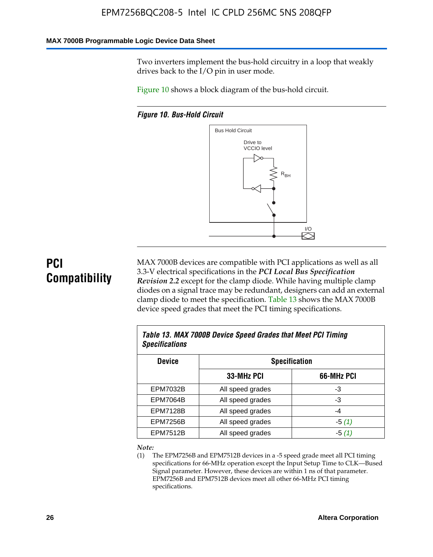#### **MAX 7000B Programmable Logic Device Data Sheet**

Two inverters implement the bus-hold circuitry in a loop that weakly drives back to the I/O pin in user mode.

Figure 10 shows a block diagram of the bus-hold circuit.

*Figure 10. Bus-Hold Circuit*

![](_page_26_Figure_5.jpeg)

# **PCI Compatibility**

MAX 7000B devices are compatible with PCI applications as well as all 3.3-V electrical specifications in the *PCI Local Bus Specification Revision 2.2* except for the clamp diode. While having multiple clamp diodes on a signal trace may be redundant, designers can add an external clamp diode to meet the specification. Table 13 shows the MAX 7000B device speed grades that meet the PCI timing specifications.

| Table 13. MAX 7000B Device Speed Grades that Meet PCI Timing<br><b>Specifications</b> |                  |            |  |  |
|---------------------------------------------------------------------------------------|------------------|------------|--|--|
| <b>Device</b><br><b>Specification</b>                                                 |                  |            |  |  |
|                                                                                       | 33-MHz PCI       | 66-MHz PCI |  |  |
| EPM7032B                                                                              | All speed grades | -3         |  |  |
| <b>EPM7064B</b>                                                                       | All speed grades | -3         |  |  |
| <b>EPM7128B</b>                                                                       | All speed grades | $-4$       |  |  |
| <b>EPM7256B</b>                                                                       | All speed grades | $-5(1)$    |  |  |
| <b>EPM7512B</b>                                                                       | All speed grades | $-5(1)$    |  |  |

#### *Note:*

(1) The EPM7256B and EPM7512B devices in a -5 speed grade meet all PCI timing specifications for 66-MHz operation except the Input Setup Time to CLK—Bused Signal parameter. However, these devices are within 1 ns of that parameter. EPM7256B and EPM7512B devices meet all other 66-MHz PCI timing specifications.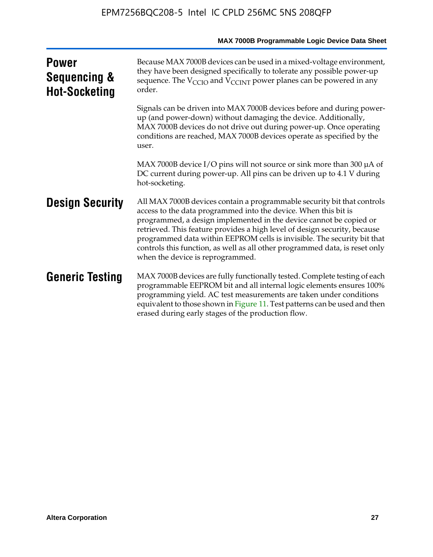|                                                                 | MAX 7000B Programmable Logic Device Data Sheet                                                                                                                                                                                                                                                                                                                                                                                                                                              |
|-----------------------------------------------------------------|---------------------------------------------------------------------------------------------------------------------------------------------------------------------------------------------------------------------------------------------------------------------------------------------------------------------------------------------------------------------------------------------------------------------------------------------------------------------------------------------|
| <b>Power</b><br><b>Sequencing &amp;</b><br><b>Hot-Socketing</b> | Because MAX 7000B devices can be used in a mixed-voltage environment,<br>they have been designed specifically to tolerate any possible power-up<br>sequence. The V <sub>CCIO</sub> and V <sub>CCINT</sub> power planes can be powered in any<br>order.                                                                                                                                                                                                                                      |
|                                                                 | Signals can be driven into MAX 7000B devices before and during power-<br>up (and power-down) without damaging the device. Additionally,<br>MAX 7000B devices do not drive out during power-up. Once operating<br>conditions are reached, MAX 7000B devices operate as specified by the<br>user.                                                                                                                                                                                             |
|                                                                 | MAX 7000B device I/O pins will not source or sink more than 300 $\mu$ A of<br>DC current during power-up. All pins can be driven up to 4.1 V during<br>hot-socketing.                                                                                                                                                                                                                                                                                                                       |
| <b>Design Security</b>                                          | All MAX 7000B devices contain a programmable security bit that controls<br>access to the data programmed into the device. When this bit is<br>programmed, a design implemented in the device cannot be copied or<br>retrieved. This feature provides a high level of design security, because<br>programmed data within EEPROM cells is invisible. The security bit that<br>controls this function, as well as all other programmed data, is reset only<br>when the device is reprogrammed. |
| <b>Generic Testing</b>                                          | MAX 7000B devices are fully functionally tested. Complete testing of each<br>programmable EEPROM bit and all internal logic elements ensures 100%<br>programming yield. AC test measurements are taken under conditions<br>equivalent to those shown in Figure 11. Test patterns can be used and then<br>erased during early stages of the production flow.                                                                                                                                 |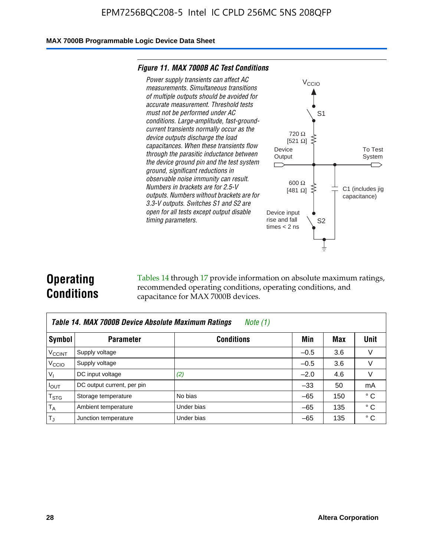#### **MAX 7000B Programmable Logic Device Data Sheet**

#### *Figure 11. MAX 7000B AC Test Conditions*

![](_page_28_Figure_3.jpeg)

# **Operating Conditions**

Tables 14 through 17 provide information on absolute maximum ratings, recommended operating conditions, operating conditions, and capacitance for MAX 7000B devices.

|                          | Table 14. MAX 7000B Device Absolute Maximum Ratings<br>Note $(1)$ |                   |        |     |              |  |  |  |
|--------------------------|-------------------------------------------------------------------|-------------------|--------|-----|--------------|--|--|--|
| Symbol                   | <b>Parameter</b>                                                  | <b>Conditions</b> | Min    | Max | Unit         |  |  |  |
| <b>V<sub>CCINT</sub></b> | Supply voltage                                                    |                   | $-0.5$ | 3.6 | v            |  |  |  |
| V <sub>CCIO</sub>        | Supply voltage                                                    |                   | $-0.5$ | 3.6 | $\vee$       |  |  |  |
| $V_1$                    | DC input voltage                                                  | (2)               | $-2.0$ | 4.6 | V            |  |  |  |
| $I_{OUT}$                | DC output current, per pin                                        |                   | $-33$  | 50  | mA           |  |  |  |
| $T_{STG}$                | Storage temperature                                               | No bias           | $-65$  | 150 | $^{\circ}$ C |  |  |  |
| $T_A$                    | Ambient temperature                                               | Under bias        | $-65$  | 135 | $^{\circ}$ C |  |  |  |
| $T_{\text{J}}$           | Junction temperature                                              | Under bias        | $-65$  | 135 | ° C          |  |  |  |

To Test System

 $\overline{\phantom{a}}$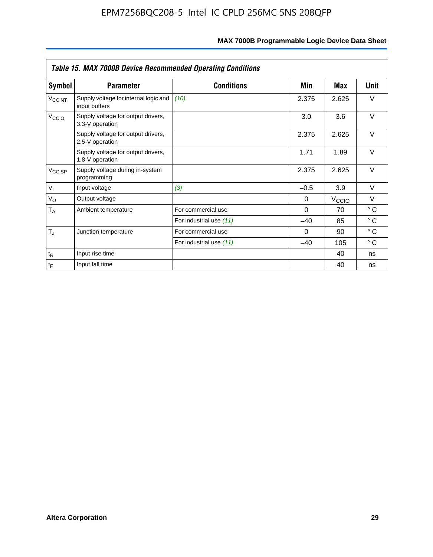|                    | <b>Table 15. MAX 7000B Device Recommended Operating Conditions</b> |                         |          |                   |              |  |  |
|--------------------|--------------------------------------------------------------------|-------------------------|----------|-------------------|--------------|--|--|
| Symbol             | <b>Parameter</b>                                                   | <b>Conditions</b>       | Min      | Max               | Unit         |  |  |
| $V_{\text{CCINT}}$ | Supply voltage for internal logic and<br>input buffers             | (10)                    | 2.375    | 2.625             | $\vee$       |  |  |
| V <sub>CCIO</sub>  | Supply voltage for output drivers,<br>3.3-V operation              |                         | 3.0      | 3.6               | $\vee$       |  |  |
|                    | Supply voltage for output drivers,<br>2.5-V operation              |                         | 2.375    | 2.625             | $\vee$       |  |  |
|                    | Supply voltage for output drivers,<br>1.8-V operation              |                         | 1.71     | 1.89              | $\vee$       |  |  |
| $V_{\text{CCISP}}$ | Supply voltage during in-system<br>programming                     |                         | 2.375    | 2.625             | $\vee$       |  |  |
| $V_{I}$            | Input voltage                                                      | (3)                     | $-0.5$   | 3.9               | $\vee$       |  |  |
| $V_{\rm O}$        | Output voltage                                                     |                         | 0        | $V_{\text{CCIO}}$ | $\vee$       |  |  |
| $T_A$              | Ambient temperature                                                | For commercial use      | $\Omega$ | 70                | $^{\circ}$ C |  |  |
|                    |                                                                    | For industrial use (11) | $-40$    | 85                | $^{\circ}$ C |  |  |
| $T_J$              | Junction temperature                                               | For commercial use      | $\Omega$ | 90                | $^{\circ}$ C |  |  |
|                    |                                                                    | For industrial use (11) | $-40$    | 105               | °C           |  |  |
| $t_{R}$            | Input rise time                                                    |                         |          | 40                | ns           |  |  |
| $t_F$              | Input fall time                                                    |                         |          | 40                | ns           |  |  |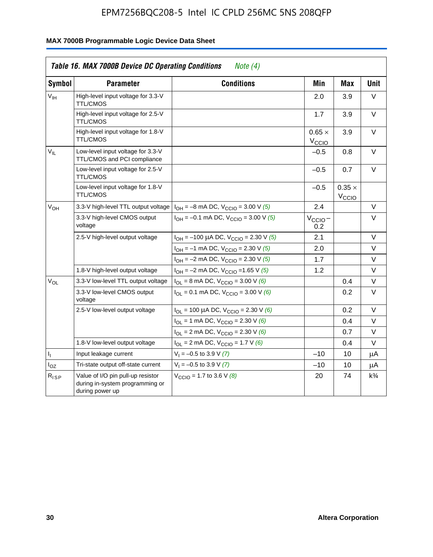|                 | Table 16. MAX 7000B Device DC Operating Conditions                                      | Note $(4)$                                     |                                    |                             |                |
|-----------------|-----------------------------------------------------------------------------------------|------------------------------------------------|------------------------------------|-----------------------------|----------------|
| <b>Symbol</b>   | <b>Parameter</b>                                                                        | <b>Conditions</b>                              | Min                                | <b>Max</b>                  | <b>Unit</b>    |
| $V_{\text{IH}}$ | High-level input voltage for 3.3-V<br><b>TTL/CMOS</b>                                   |                                                | 2.0                                | 3.9                         | V              |
|                 | High-level input voltage for 2.5-V<br>TTL/CMOS                                          |                                                | 1.7                                | 3.9                         | V              |
|                 | High-level input voltage for 1.8-V<br><b>TTL/CMOS</b>                                   |                                                | $0.65 \times$<br>$V_{\text{CCIQ}}$ | 3.9                         | $\vee$         |
| $V_{IL}$        | Low-level input voltage for 3.3-V<br>TTL/CMOS and PCI compliance                        |                                                | $-0.5$                             | 0.8                         | V              |
|                 | Low-level input voltage for 2.5-V<br><b>TTL/CMOS</b>                                    |                                                | $-0.5$                             | 0.7                         | V              |
|                 | Low-level input voltage for 1.8-V<br><b>TTL/CMOS</b>                                    |                                                | $-0.5$                             | $0.35 \times$<br>$V_{CCIO}$ |                |
| V <sub>OH</sub> | 3.3-V high-level TTL output voltage                                                     | $I_{OH} = -8$ mA DC, $V_{CCIO} = 3.00$ V (5)   | 2.4                                |                             | V              |
|                 | 3.3-V high-level CMOS output<br>voltage                                                 | $I_{OH} = -0.1$ mA DC, $V_{CClO} = 3.00$ V (5) | $V_{\text{CCIO}}-$<br>0.2          |                             | $\vee$         |
|                 | 2.5-V high-level output voltage                                                         | $I_{OH}$ = -100 µA DC, $V_{CClO}$ = 2.30 V (5) | 2.1                                |                             | $\vee$         |
|                 |                                                                                         | $I_{OH} = -1$ mA DC, $V_{CClO} = 2.30$ V (5)   | 2.0                                |                             | V              |
|                 |                                                                                         | $I_{OH} = -2$ mA DC, $V_{CCIO} = 2.30$ V (5)   | 1.7                                |                             | V              |
|                 | 1.8-V high-level output voltage                                                         | $I_{OH} = -2$ mA DC, $V_{CClO} = 1.65$ V (5)   | 1.2                                |                             | V              |
| $\rm V_{OL}$    | 3.3-V low-level TTL output voltage                                                      | $I_{OL}$ = 8 mA DC, $V_{CCIO}$ = 3.00 V (6)    |                                    | 0.4                         | V              |
|                 | 3.3-V low-level CMOS output<br>voltage                                                  | $I_{OL}$ = 0.1 mA DC, $V_{CCIO}$ = 3.00 V (6)  |                                    | 0.2                         | V              |
|                 | 2.5-V low-level output voltage                                                          | $I_{OL}$ = 100 µA DC, $V_{CCIO}$ = 2.30 V (6)  |                                    | 0.2                         | $\vee$         |
|                 |                                                                                         | $I_{OL}$ = 1 mA DC, $V_{CCIO}$ = 2.30 V (6)    |                                    | 0.4                         | V              |
|                 |                                                                                         | $I_{OL}$ = 2 mA DC, $V_{CCIO}$ = 2.30 V (6)    |                                    | 0.7                         | V              |
|                 | 1.8-V low-level output voltage                                                          | $I_{OL}$ = 2 mA DC, $V_{CCIO}$ = 1.7 V (6)     |                                    | 0.4                         | $\vee$         |
| 4               | Input leakage current                                                                   | $V_1 = -0.5$ to 3.9 V (7)                      | $-10$                              | 10                          | μA             |
| $I_{OZ}$        | Tri-state output off-state current                                                      | $V_1 = -0.5$ to 3.9 V (7)                      | $-10$                              | 10                          | μA             |
| $R_{ISP}$       | Value of I/O pin pull-up resistor<br>during in-system programming or<br>during power up | $V_{\text{CCIO}} = 1.7$ to 3.6 V (8)           | 20                                 | 74                          | $k\frac{3}{4}$ |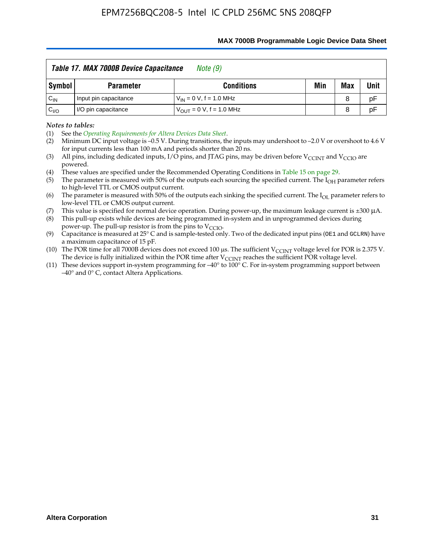|                 | Table 17. MAX 7000B Device Capacitance | Note (9)                            |     |     |      |
|-----------------|----------------------------------------|-------------------------------------|-----|-----|------|
| Symbol          | <b>Parameter</b>                       | <b>Conditions</b>                   | Min | Max | Unit |
| $C_{\sf IN}$    | Input pin capacitance                  | $V_{IN} = 0 V$ , f = 1.0 MHz        |     | 8   | pF   |
| $C_{\text{IO}}$ | I/O pin capacitance                    | $V_{\text{OUT}} = 0 V, f = 1.0 MHz$ |     | 8   | pF   |

#### **MAX 7000B Programmable Logic Device Data Sheet**

*Notes to tables:*

(3) All pins, including dedicated inputs, I/O pins, and JTAG pins, may be driven before V<sub>CCINT</sub> and V<sub>CCIO</sub> are powered.

(4) These values are specified under the Recommended Operating Conditions in Table 15 on page 29.

(5) The parameter is measured with 50% of the outputs each sourcing the specified current. The  $I_{OH}$  parameter refers to high-level TTL or CMOS output current.

(6) The parameter is measured with 50% of the outputs each sinking the specified current. The  $I_{OL}$  parameter refers to low-level TTL or CMOS output current.

This value is specified for normal device operation. During power-up, the maximum leakage current is  $\pm 300$   $\mu$ A. (7) This value is specified for normal device operation. During power-up, the maximum leakage current is  $\pm 3$  (8) This pull-up exists while devices are being programmed in-system and in unprogrammed devices during

power-up. The pull-up resistor is from the pins to  $V_{\text{CCIO}}$ .

(9) Capacitance is measured at 25° C and is sample-tested only. Two of the dedicated input pins (OE1 and GCLRN) have a maximum capacitance of 15 pF.

(10) The POR time for all 7000B devices does not exceed 100 μs. The sufficient  $V_{\text{CCINT}}$  voltage level for POR is 2.375 V.

The device is fully initialized within the POR time after  $V_{\text{CCINT}}$  reaches the sufficient POR voltage level.<br>(11) These devices support in-system programming for  $-40^{\circ}$  to 100° C. For in-system programming support be –40° and 0° C, contact Altera Applications.

<sup>(1)</sup> See the *Operating Requirements for Altera Devices Data Sheet*.

<sup>(2)</sup> Minimum DC input voltage is –0.5 V. During transitions, the inputs may undershoot to –2.0 V or overshoot to 4.6 V for input currents less than 100 mA and periods shorter than 20 ns.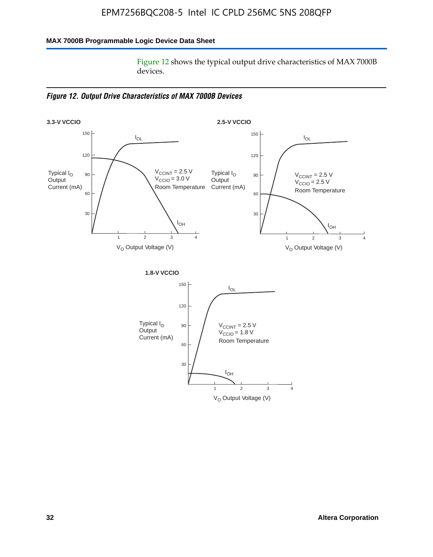### **MAX 7000B Programmable Logic Device Data Sheet**

Figure 12 shows the typical output drive characteristics of MAX 7000B devices.

*Figure 12. Output Drive Characteristics of MAX 7000B Devices*

![](_page_32_Figure_4.jpeg)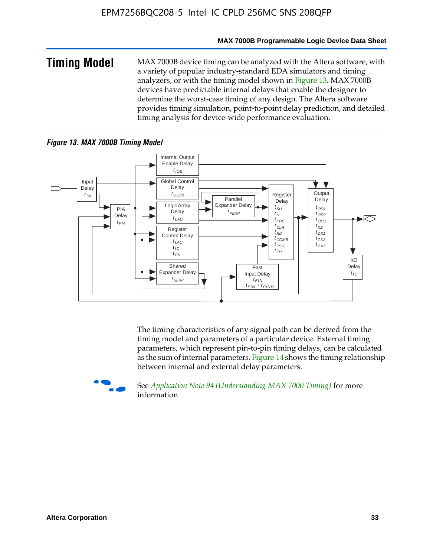#### **MAX 7000B Programmable Logic Device Data Sheet**

**Timing Model** MAX 7000B device timing can be analyzed with the Altera software, with a variety of popular industry-standard EDA simulators and timing analyzers, or with the timing model shown in Figure 13. MAX 7000B devices have predictable internal delays that enable the designer to determine the worst-case timing of any design. The Altera software provides timing simulation, point-to-point delay prediction, and detailed timing analysis for device-wide performance evaluation.

### *Figure 13. MAX 7000B Timing Model*

![](_page_33_Figure_4.jpeg)

The timing characteristics of any signal path can be derived from the timing model and parameters of a particular device. External timing parameters, which represent pin-to-pin timing delays, can be calculated as the sum of internal parameters. Figure 14 shows the timing relationship between internal and external delay parameters.

![](_page_33_Picture_6.jpeg)

f See *Application Note 94 (Understanding MAX 7000 Timing)* for more information.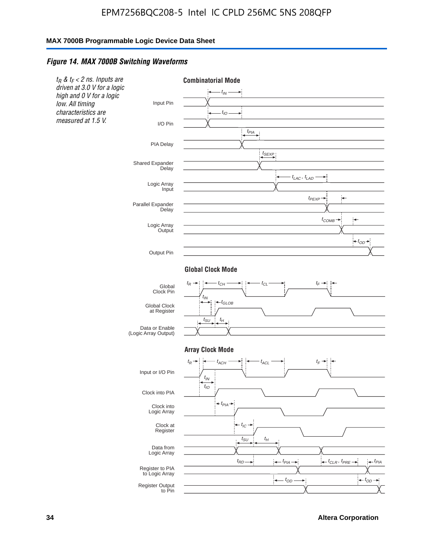#### *Figure 14. MAX 7000B Switching Waveforms*

![](_page_34_Figure_3.jpeg)

**34 Altera Corporation**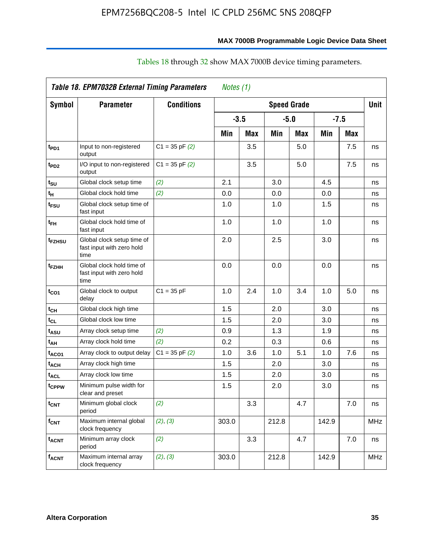|                    | Table 18. EPM7032B External Timing Parameters                   |                    | Notes (1) |            |                    |            |       |            |             |
|--------------------|-----------------------------------------------------------------|--------------------|-----------|------------|--------------------|------------|-------|------------|-------------|
| <b>Symbol</b>      | <b>Parameter</b>                                                | <b>Conditions</b>  |           |            | <b>Speed Grade</b> |            |       |            | <b>Unit</b> |
|                    |                                                                 |                    | $-3.5$    |            | $-5.0$             |            |       | $-7.5$     |             |
|                    |                                                                 |                    | Min       | <b>Max</b> | Min                | <b>Max</b> | Min   | <b>Max</b> |             |
| t <sub>PD1</sub>   | Input to non-registered<br>output                               | $C1 = 35$ pF $(2)$ |           | 3.5        |                    | 5.0        |       | 7.5        | ns          |
| t <sub>PD2</sub>   | I/O input to non-registered<br>output                           | $C1 = 35$ pF $(2)$ |           | 3.5        |                    | 5.0        |       | 7.5        | ns          |
| tsu                | Global clock setup time                                         | (2)                | 2.1       |            | 3.0                |            | 4.5   |            | ns          |
| t <sub>H</sub>     | Global clock hold time                                          | (2)                | 0.0       |            | 0.0                |            | 0.0   |            | ns          |
| t <sub>FSU</sub>   | Global clock setup time of<br>fast input                        |                    | 1.0       |            | 1.0                |            | 1.5   |            | ns          |
| t <sub>FH</sub>    | Global clock hold time of<br>fast input                         |                    | 1.0       |            | 1.0                |            | 1.0   |            | ns          |
| t <sub>FZHSU</sub> | Global clock setup time of<br>fast input with zero hold<br>time |                    | 2.0       |            | 2.5                |            | 3.0   |            | ns          |
| t <sub>FZHH</sub>  | Global clock hold time of<br>fast input with zero hold<br>time  |                    | 0.0       |            | 0.0                |            | 0.0   |            | ns          |
| t <sub>CO1</sub>   | Global clock to output<br>delay                                 | $C1 = 35 pF$       | 1.0       | 2.4        | 1.0                | 3.4        | 1.0   | 5.0        | ns          |
| t <sub>СН</sub>    | Global clock high time                                          |                    | 1.5       |            | 2.0                |            | 3.0   |            | ns          |
| $t_{CL}$           | Global clock low time                                           |                    | 1.5       |            | 2.0                |            | 3.0   |            | ns          |
| t <sub>ASU</sub>   | Array clock setup time                                          | (2)                | 0.9       |            | 1.3                |            | 1.9   |            | ns          |
| t <sub>АН</sub>    | Array clock hold time                                           | (2)                | 0.2       |            | 0.3                |            | 0.6   |            | ns          |
| t <sub>ACO1</sub>  | Array clock to output delay                                     | $C1 = 35$ pF $(2)$ | 1.0       | 3.6        | 1.0                | 5.1        | 1.0   | 7.6        | ns          |
| t <sub>АСН</sub>   | Array clock high time                                           |                    | 1.5       |            | 2.0                |            | 3.0   |            | ns          |
| t <sub>ACL</sub>   | Array clock low time                                            |                    | 1.5       |            | 2.0                |            | 3.0   |            | ns          |
| t <sub>CPPW</sub>  | Minimum pulse width for<br>clear and preset                     |                    | 1.5       |            | 2.0                |            | 3.0   |            | ns          |
| t <sub>CNT</sub>   | Minimum global clock<br>period                                  | (2)                |           | 3.3        |                    | 4.7        |       | 7.0        | ns          |
| f <sub>CNT</sub>   | Maximum internal global<br>clock frequency                      | (2), (3)           | 303.0     |            | 212.8              |            | 142.9 |            | <b>MHz</b>  |
| t <sub>acnt</sub>  | Minimum array clock<br>period                                   | (2)                |           | 3.3        |                    | 4.7        |       | 7.0        | ns          |
| $\sf f_{ACNT}$     | Maximum internal array<br>clock frequency                       | (2), (3)           | 303.0     |            | 212.8              |            | 142.9 |            | MHz         |

# Tables 18 through 32 show MAX 7000B device timing parameters.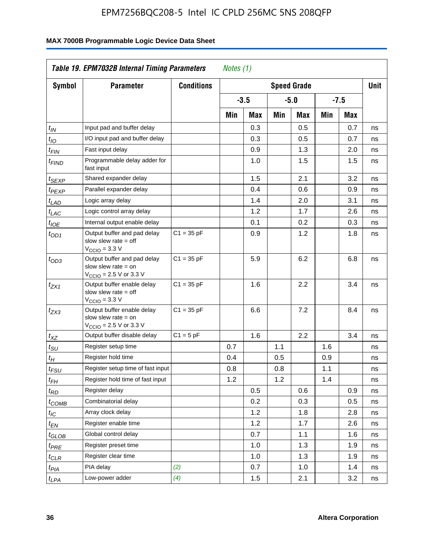| <b>Symbol</b>               | <b>Parameter</b>                                                                                           | <b>Conditions</b> |     |        |     | <b>Speed Grade</b> |     |            | <b>Unit</b> |
|-----------------------------|------------------------------------------------------------------------------------------------------------|-------------------|-----|--------|-----|--------------------|-----|------------|-------------|
|                             |                                                                                                            |                   |     | $-3.5$ |     | -5.0               |     | $-7.5$     |             |
|                             |                                                                                                            |                   | Min | Max    | Min | Max                | Min | <b>Max</b> |             |
| $t_{IN}$                    | Input pad and buffer delay                                                                                 |                   |     | 0.3    |     | 0.5                |     | 0.7        | ns          |
| $t_{IO}$                    | I/O input pad and buffer delay                                                                             |                   |     | 0.3    |     | 0.5                |     | 0.7        | ns          |
| $t_{\sf FIN}$               | Fast input delay                                                                                           |                   |     | 0.9    |     | 1.3                |     | 2.0        | ns          |
| $t_{FIND}$                  | Programmable delay adder for<br>fast input                                                                 |                   |     | 1.0    |     | 1.5                |     | 1.5        | ns          |
| t <sub>SEXP</sub>           | Shared expander delay                                                                                      |                   |     | 1.5    |     | 2.1                |     | 3.2        | ns          |
| t <sub>PEXP</sub>           | Parallel expander delay                                                                                    |                   |     | 0.4    |     | 0.6                |     | 0.9        | ns          |
| $t_{LAD}$                   | Logic array delay                                                                                          |                   |     | 1.4    |     | 2.0                |     | 3.1        | ns          |
| $t_{LAC}$                   | Logic control array delay                                                                                  |                   |     | 1.2    |     | 1.7                |     | 2.6        | ns          |
| t <sub>IOE</sub>            | Internal output enable delay                                                                               |                   |     | 0.1    |     | 0.2                |     | 0.3        | ns          |
| $t_{OD1}$                   | Output buffer and pad delay<br>slow slew rate $=$ off<br>V <sub>CCIO</sub> = 3.3 V                         | $C1 = 35 pF$      |     | 0.9    |     | 1.2                |     | 1.8        | ns          |
| $t_{OD3}$                   | Output buffer and pad delay<br>slow slew rate $=$ on<br>V <sub>CCIO</sub> = 2.5 V or 3.3 V                 | $C1 = 35 pF$      |     | 5.9    |     | 6.2                |     | 6.8        | ns          |
| $t_{ZX1}$                   | Output buffer enable delay<br>slow slew rate $=$ off<br>$V_{\text{CCIO}} = 3.3 \text{ V}$                  | $C1 = 35 pF$      |     | 1.6    |     | 2.2                |     | 3.4        | ns          |
| $t_{ZX3}$                   | Output buffer enable delay<br>slow slew rate $=$ on<br>$V_{\text{CCIO}} = 2.5 \text{ V or } 3.3 \text{ V}$ | $C1 = 35 pF$      |     | 6.6    |     | 7.2                |     | 8.4        | ns          |
| $t_{XZ}$                    | Output buffer disable delay                                                                                | $C1 = 5pF$        |     | 1.6    |     | 2.2                |     | 3.4        | ns          |
| $t_{\scriptstyle\text{SU}}$ | Register setup time                                                                                        |                   | 0.7 |        | 1.1 |                    | 1.6 |            | ns          |
| t <sub>Η</sub>              | Register hold time                                                                                         |                   | 0.4 |        | 0.5 |                    | 0.9 |            | ns          |
| t <sub>FSU</sub>            | Register setup time of fast input                                                                          |                   | 0.8 |        | 0.8 |                    | 1.1 |            | ns          |
| t <sub>FH</sub>             | Register hold time of fast input                                                                           |                   | 1.2 |        | 1.2 |                    | 1.4 |            | ns          |
| $t_{RD}$                    | Register delay                                                                                             |                   |     | 0.5    |     | 0.6                |     | 0.9        | ns          |
| $t_{COMB}$                  | Combinatorial delay                                                                                        |                   |     | 0.2    |     | 0.3                |     | 0.5        | ns          |
| $t_{\mathcal{IC}}$          | Array clock delay                                                                                          |                   |     | 1.2    |     | 1.8                |     | 2.8        | ns          |
| $t_{EN}$                    | Register enable time                                                                                       |                   |     | 1.2    |     | 1.7                |     | 2.6        | ns          |
| t <sub>GLOB</sub>           | Global control delay                                                                                       |                   |     | 0.7    |     | 1.1                |     | 1.6        | ns          |
| t <sub>PRE</sub>            | Register preset time                                                                                       |                   |     | 1.0    |     | 1.3                |     | 1.9        | ns          |
| $t_{\sf CLR}$               | Register clear time                                                                                        |                   |     | 1.0    |     | 1.3                |     | 1.9        | ns          |
| t <sub>PIA</sub>            | PIA delay                                                                                                  | (2)               |     | 0.7    |     | 1.0                |     | 1.4        | ns          |
| $t_{LPA}$                   | Low-power adder                                                                                            | (4)               |     | 1.5    |     | 2.1                |     | 3.2        | ns          |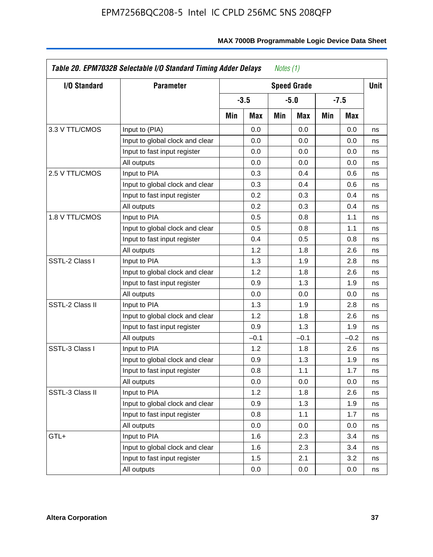| <b>I/O Standard</b> | <b>Parameter</b>                |     |        |     | <b>Speed Grade</b> |     |            | Unit |
|---------------------|---------------------------------|-----|--------|-----|--------------------|-----|------------|------|
|                     |                                 |     | $-3.5$ |     | $-5.0$             |     | -7.5       |      |
|                     |                                 | Min | Max    | Min | Max                | Min | <b>Max</b> |      |
| 3.3 V TTL/CMOS      | Input to (PIA)                  |     | 0.0    |     | 0.0                |     | 0.0        | ns   |
|                     | Input to global clock and clear |     | 0.0    |     | 0.0                |     | 0.0        | ns   |
|                     | Input to fast input register    |     | 0.0    |     | 0.0                |     | 0.0        | ns   |
|                     | All outputs                     |     | 0.0    |     | 0.0                |     | 0.0        | ns   |
| 2.5 V TTL/CMOS      | Input to PIA                    |     | 0.3    |     | 0.4                |     | 0.6        | ns   |
|                     | Input to global clock and clear |     | 0.3    |     | 0.4                |     | 0.6        | ns   |
|                     | Input to fast input register    |     | 0.2    |     | 0.3                |     | 0.4        | ns   |
|                     | All outputs                     |     | 0.2    |     | 0.3                |     | 0.4        | ns   |
| 1.8 V TTL/CMOS      | Input to PIA                    |     | 0.5    |     | 0.8                |     | 1.1        | ns   |
|                     | Input to global clock and clear |     | 0.5    |     | 0.8                |     | 1.1        | ns   |
|                     | Input to fast input register    |     | 0.4    |     | 0.5                |     | 0.8        | ns   |
|                     | All outputs                     |     | 1.2    |     | 1.8                |     | 2.6        | ns   |
| SSTL-2 Class I      | Input to PIA                    |     | 1.3    |     | 1.9                |     | 2.8        | ns   |
|                     | Input to global clock and clear |     | 1.2    |     | 1.8                |     | 2.6        | ns   |
|                     | Input to fast input register    |     | 0.9    |     | 1.3                |     | 1.9        | ns   |
|                     | All outputs                     |     | 0.0    |     | 0.0                |     | 0.0        | ns   |
| SSTL-2 Class II     | Input to PIA                    |     | 1.3    |     | 1.9                |     | 2.8        | ns   |
|                     | Input to global clock and clear |     | 1.2    |     | 1.8                |     | 2.6        | ns   |
|                     | Input to fast input register    |     | 0.9    |     | 1.3                |     | 1.9        | ns   |
|                     | All outputs                     |     | $-0.1$ |     | $-0.1$             |     | $-0.2$     | ns   |
| SSTL-3 Class I      | Input to PIA                    |     | 1.2    |     | 1.8                |     | 2.6        | ns   |
|                     | Input to global clock and clear |     | 0.9    |     | 1.3                |     | 1.9        | ns   |
|                     | Input to fast input register    |     | 0.8    |     | 1.1                |     | 1.7        | ns   |
|                     | All outputs                     |     | 0.0    |     | 0.0                |     | 0.0        | ns   |
| SSTL-3 Class II     | Input to PIA                    |     | 1.2    |     | 1.8                |     | 2.6        | ns   |
|                     | Input to global clock and clear |     | 0.9    |     | 1.3                |     | 1.9        | ns   |
|                     | Input to fast input register    |     | 0.8    |     | 1.1                |     | 1.7        | ns   |
|                     | All outputs                     |     | 0.0    |     | 0.0                |     | 0.0        | ns   |
| GTL+                | Input to PIA                    |     | 1.6    |     | 2.3                |     | 3.4        | ns   |
|                     | Input to global clock and clear |     | 1.6    |     | 2.3                |     | 3.4        | ns   |
|                     | Input to fast input register    |     | 1.5    |     | 2.1                |     | 3.2        | ns   |
|                     | All outputs                     |     | 0.0    |     | 0.0                |     | 0.0        | ns   |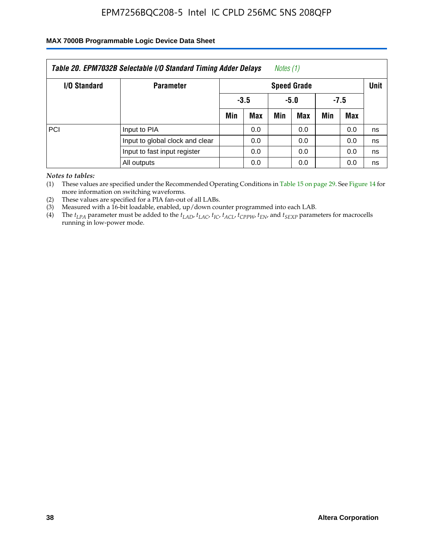### **MAX 7000B Programmable Logic Device Data Sheet**

|              | Table 20. EPM7032B Selectable I/O Standard Timing Adder Delays |     |                    | Notes (1) |            |        |     |    |  |  |
|--------------|----------------------------------------------------------------|-----|--------------------|-----------|------------|--------|-----|----|--|--|
| I/O Standard | <b>Parameter</b>                                               |     | <b>Speed Grade</b> |           |            |        |     |    |  |  |
|              |                                                                |     | $-3.5$             |           | -5.0       | $-7.5$ |     |    |  |  |
|              |                                                                | Min | Max                | Min       | <b>Max</b> | Min    | Max |    |  |  |
| PCI          | Input to PIA                                                   |     | 0.0                |           | 0.0        |        | 0.0 | ns |  |  |
|              | Input to global clock and clear                                |     | 0.0                |           | 0.0        |        | 0.0 | ns |  |  |
|              | Input to fast input register                                   |     | 0.0                |           | 0.0        |        | 0.0 | ns |  |  |
|              | All outputs                                                    |     | 0.0                |           | 0.0        |        | 0.0 | ns |  |  |

*Notes to tables:*

(1) These values are specified under the Recommended Operating Conditions in Table 15 on page 29. See Figure 14 for more information on switching waveforms.

(2) These values are specified for a PIA fan-out of all LABs.

(3) Measured with a 16-bit loadable, enabled, up/down counter programmed into each LAB.

(4) The *tLPA* parameter must be added to the *tLAD*, *tLAC*, *tIC*, *tACL*, *tCPPW*, *tEN*, and *tSEXP* parameters for macrocells running in low-power mode.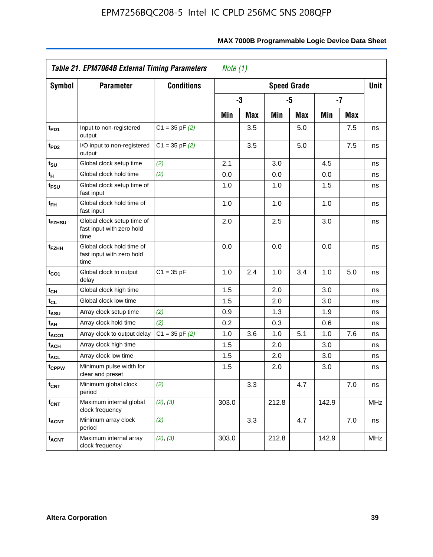|                               | Table 21. EPM7064B External Timing Parameters                   |                    | Note $(1)$ |            |       |                    |       |            |            |
|-------------------------------|-----------------------------------------------------------------|--------------------|------------|------------|-------|--------------------|-------|------------|------------|
| Symbol                        | <b>Parameter</b>                                                | <b>Conditions</b>  |            |            |       | <b>Speed Grade</b> |       |            | Unit       |
|                               |                                                                 |                    |            | -3         |       | -5                 |       | $-7$       |            |
|                               |                                                                 |                    | Min        | <b>Max</b> | Min   | <b>Max</b>         | Min   | <b>Max</b> |            |
| t <sub>PD1</sub>              | Input to non-registered<br>output                               | $C1 = 35$ pF $(2)$ |            | 3.5        |       | 5.0                |       | 7.5        | ns         |
| t <sub>PD2</sub>              | I/O input to non-registered<br>output                           | $C1 = 35$ pF $(2)$ |            | 3.5        |       | 5.0                |       | 7.5        | ns         |
| $t_{\scriptstyle\textrm{SU}}$ | Global clock setup time                                         | (2)                | 2.1        |            | 3.0   |                    | 4.5   |            | ns         |
| t <sub>Η</sub>                | Global clock hold time                                          | (2)                | 0.0        |            | 0.0   |                    | 0.0   |            | ns         |
| t <sub>FSU</sub>              | Global clock setup time of<br>fast input                        |                    | 1.0        |            | 1.0   |                    | 1.5   |            | ns         |
| t <sub>FH</sub>               | Global clock hold time of<br>fast input                         |                    | 1.0        |            | 1.0   |                    | 1.0   |            | ns         |
| t <sub>FZHSU</sub>            | Global clock setup time of<br>fast input with zero hold<br>time |                    | 2.0        |            | 2.5   |                    | 3.0   |            | ns         |
| t <sub>FZНН</sub>             | Global clock hold time of<br>fast input with zero hold<br>time  |                    | 0.0        |            | 0.0   |                    | 0.0   |            | ns         |
| t <sub>CO1</sub>              | Global clock to output<br>delay                                 | $C1 = 35 pF$       | 1.0        | 2.4        | 1.0   | 3.4                | 1.0   | 5.0        | ns         |
| tсн                           | Global clock high time                                          |                    | 1.5        |            | 2.0   |                    | 3.0   |            | ns         |
| tcL                           | Global clock low time                                           |                    | 1.5        |            | 2.0   |                    | 3.0   |            | ns         |
| tasu                          | Array clock setup time                                          | (2)                | 0.9        |            | 1.3   |                    | 1.9   |            | ns         |
| t <sub>АН</sub>               | Array clock hold time                                           | (2)                | 0.2        |            | 0.3   |                    | 0.6   |            | ns         |
| t <sub>ACO1</sub>             | Array clock to output delay                                     | $C1 = 35$ pF $(2)$ | 1.0        | 3.6        | 1.0   | 5.1                | 1.0   | 7.6        | ns         |
| t <sub>ACH</sub>              | Array clock high time                                           |                    | 1.5        |            | 2.0   |                    | 3.0   |            | ns         |
| t <sub>ACL</sub>              | Array clock low time                                            |                    | 1.5        |            | 2.0   |                    | 3.0   |            | ns         |
| t <sub>CPPW</sub>             | Minimum pulse width for<br>clear and preset                     |                    | 1.5        |            | 2.0   |                    | 3.0   |            | ns         |
| $t_{\text{CNT}}$              | Minimum global clock<br>period                                  | (2)                |            | 3.3        |       | 4.7                |       | 7.0        | ns         |
| $f_{\mathsf{CNT}}$            | Maximum internal global<br>clock frequency                      | (2), (3)           | 303.0      |            | 212.8 |                    | 142.9 |            | <b>MHz</b> |
| <b>t<sub>ACNT</sub></b>       | Minimum array clock<br>period                                   | (2)                |            | 3.3        |       | 4.7                |       | 7.0        | ns         |
| $f_{ACNT}$                    | Maximum internal array<br>clock frequency                       | (2), (3)           | 303.0      |            | 212.8 |                    | 142.9 |            | MHz        |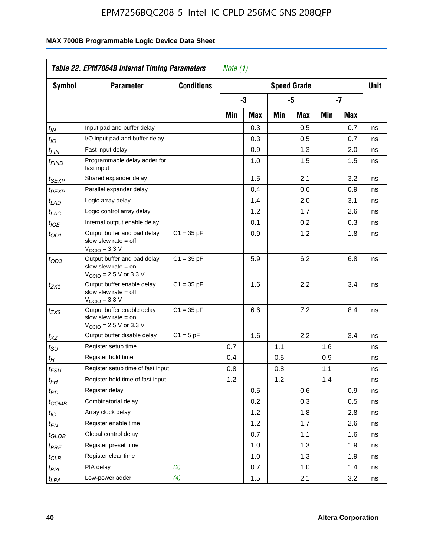| <b>Symbol</b>                 | <b>Parameter</b>                                                                                            | <b>Conditions</b> |     |     |     | <b>Speed Grade</b> |     |            | <b>Unit</b> |
|-------------------------------|-------------------------------------------------------------------------------------------------------------|-------------------|-----|-----|-----|--------------------|-----|------------|-------------|
|                               |                                                                                                             |                   |     | -3  |     | -5                 |     | $-7$       |             |
|                               |                                                                                                             |                   | Min | Max | Min | Max                | Min | <b>Max</b> |             |
| $t_{IN}$                      | Input pad and buffer delay                                                                                  |                   |     | 0.3 |     | 0.5                |     | 0.7        | ns          |
| $t_{IO}$                      | I/O input pad and buffer delay                                                                              |                   |     | 0.3 |     | 0.5                |     | 0.7        | ns          |
| $t_{\sf FIN}$                 | Fast input delay                                                                                            |                   |     | 0.9 |     | 1.3                |     | 2.0        | ns          |
| $t_{FIND}$                    | Programmable delay adder for<br>fast input                                                                  |                   |     | 1.0 |     | 1.5                |     | 1.5        | ns          |
| t <sub>SEXP</sub>             | Shared expander delay                                                                                       |                   |     | 1.5 |     | 2.1                |     | 3.2        | ns          |
| t <sub>PEXP</sub>             | Parallel expander delay                                                                                     |                   |     | 0.4 |     | 0.6                |     | 0.9        | ns          |
| t <sub>LAD</sub>              | Logic array delay                                                                                           |                   |     | 1.4 |     | 2.0                |     | 3.1        | ns          |
| $t_{LAC}$                     | Logic control array delay                                                                                   |                   |     | 1.2 |     | 1.7                |     | 2.6        | ns          |
| $t_{IOE}$                     | Internal output enable delay                                                                                |                   |     | 0.1 |     | 0.2                |     | 0.3        | ns          |
| $t_{OD1}$                     | Output buffer and pad delay<br>slow slew rate $=$ off<br>$VCCIO = 3.3 V$                                    | $C1 = 35 pF$      |     | 0.9 |     | 1.2                |     | 1.8        | ns          |
| $t_{OD3}$                     | Output buffer and pad delay<br>slow slew rate $=$ on<br>$V_{\text{CCIO}} = 2.5 \text{ V or } 3.3 \text{ V}$ | $C1 = 35 pF$      |     | 5.9 |     | 6.2                |     | 6.8        | ns          |
| $t_{ZX1}$                     | Output buffer enable delay<br>slow slew rate $=$ off<br>$V_{\text{CCIO}} = 3.3 \text{ V}$                   | $C1 = 35 pF$      |     | 1.6 |     | 2.2                |     | 3.4        | ns          |
| $t_{ZX3}$                     | Output buffer enable delay<br>slow slew rate $=$ on<br>$V_{\text{CCIO}} = 2.5 \text{ V or } 3.3 \text{ V}$  | $C1 = 35 pF$      |     | 6.6 |     | 7.2                |     | 8.4        | ns          |
| $t_{XZ}$                      | Output buffer disable delay                                                                                 | $C1 = 5pF$        |     | 1.6 |     | 2.2                |     | 3.4        | ns          |
| $t_{\text{SU}}$               | Register setup time                                                                                         |                   | 0.7 |     | 1.1 |                    | 1.6 |            | ns          |
| t <sub>Η</sub>                | Register hold time                                                                                          |                   | 0.4 |     | 0.5 |                    | 0.9 |            | ns          |
| $t_{\it FSU}$                 | Register setup time of fast input                                                                           |                   | 0.8 |     | 0.8 |                    | 1.1 |            | ns          |
| t <sub>FH</sub>               | Register hold time of fast input                                                                            |                   | 1.2 |     | 1.2 |                    | 1.4 |            | ns          |
| $t_{RD}$                      | Register delay                                                                                              |                   |     | 0.5 |     | 0.6                |     | 0.9        | ns          |
| $t_{COMB}$                    | Combinatorial delay                                                                                         |                   |     | 0.2 |     | 0.3                |     | 0.5        | ns          |
| t <sub>IC</sub>               | Array clock delay                                                                                           |                   |     | 1.2 |     | 1.8                |     | 2.8        | ns          |
| t <sub>EN</sub>               | Register enable time                                                                                        |                   |     | 1.2 |     | 1.7                |     | 2.6        | ns          |
| $t_{\scriptstyle\text{GLOB}}$ | Global control delay                                                                                        |                   |     | 0.7 |     | 1.1                |     | 1.6        | ns          |
| $t_{PRE}$                     | Register preset time                                                                                        |                   |     | 1.0 |     | 1.3                |     | 1.9        | ns          |
| $t_{\sf CLR}$                 | Register clear time                                                                                         |                   |     | 1.0 |     | 1.3                |     | 1.9        | ns          |
| t <sub>PIA</sub>              | PIA delay                                                                                                   | (2)               |     | 0.7 |     | 1.0                |     | 1.4        | ns          |
| t <sub>LPA</sub>              | Low-power adder                                                                                             | (4)               |     | 1.5 |     | 2.1                |     | 3.2        | ns          |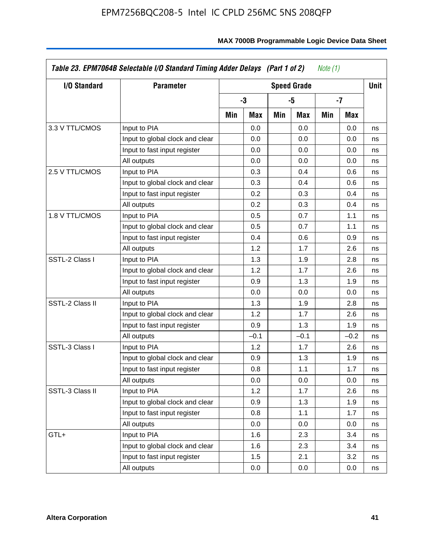| I/O Standard    | <b>Parameter</b>                |     |        |     | <b>Speed Grade</b> |     |        | <b>Unit</b> |
|-----------------|---------------------------------|-----|--------|-----|--------------------|-----|--------|-------------|
|                 |                                 |     | -3     |     | -5                 |     | -7     |             |
|                 |                                 | Min | Max    | Min | Max                | Min | Max    |             |
| 3.3 V TTL/CMOS  | Input to PIA                    |     | 0.0    |     | 0.0                |     | 0.0    | ns          |
|                 | Input to global clock and clear |     | 0.0    |     | 0.0                |     | 0.0    | ns          |
|                 | Input to fast input register    |     | 0.0    |     | 0.0                |     | 0.0    | ns          |
|                 | All outputs                     |     | 0.0    |     | 0.0                |     | 0.0    | ns          |
| 2.5 V TTL/CMOS  | Input to PIA                    |     | 0.3    |     | 0.4                |     | 0.6    | ns          |
|                 | Input to global clock and clear |     | 0.3    |     | 0.4                |     | 0.6    | ns          |
|                 | Input to fast input register    |     | 0.2    |     | 0.3                |     | 0.4    | ns          |
|                 | All outputs                     |     | 0.2    |     | 0.3                |     | 0.4    | ns          |
| 1.8 V TTL/CMOS  | Input to PIA                    |     | 0.5    |     | 0.7                |     | 1.1    | ns          |
|                 | Input to global clock and clear |     | 0.5    |     | 0.7                |     | 1.1    | ns          |
|                 | Input to fast input register    |     | 0.4    |     | 0.6                |     | 0.9    | ns          |
|                 | All outputs                     |     | 1.2    |     | 1.7                |     | 2.6    | ns          |
| SSTL-2 Class I  | Input to PIA                    |     | 1.3    |     | 1.9                |     | 2.8    | ns          |
|                 | Input to global clock and clear |     | 1.2    |     | 1.7                |     | 2.6    | ns          |
|                 | Input to fast input register    |     | 0.9    |     | 1.3                |     | 1.9    | ns          |
|                 | All outputs                     |     | 0.0    |     | 0.0                |     | 0.0    | ns          |
| SSTL-2 Class II | Input to PIA                    |     | 1.3    |     | 1.9                |     | 2.8    | ns          |
|                 | Input to global clock and clear |     | 1.2    |     | 1.7                |     | 2.6    | ns          |
|                 | Input to fast input register    |     | 0.9    |     | 1.3                |     | 1.9    | ns          |
|                 | All outputs                     |     | $-0.1$ |     | $-0.1$             |     | $-0.2$ | ns          |
| SSTL-3 Class I  | Input to PIA                    |     | 1.2    |     | 1.7                |     | 2.6    | ns          |
|                 | Input to global clock and clear |     | 0.9    |     | 1.3                |     | 1.9    | ns          |
|                 | Input to fast input register    |     | 0.8    |     | 1.1                |     | 1.7    | ns          |
|                 | All outputs                     |     | 0.0    |     | 0.0                |     | 0.0    | ns          |
| SSTL-3 Class II | Input to PIA                    |     | 1.2    |     | 1.7                |     | 2.6    | ns          |
|                 | Input to global clock and clear |     | 0.9    |     | 1.3                |     | 1.9    | ns          |
|                 | Input to fast input register    |     | 0.8    |     | 1.1                |     | 1.7    | ns          |
|                 | All outputs                     |     | 0.0    |     | 0.0                |     | 0.0    | ns          |
| GTL+            | Input to PIA                    |     | 1.6    |     | 2.3                |     | 3.4    | ns          |
|                 | Input to global clock and clear |     | 1.6    |     | 2.3                |     | 3.4    | ns          |
|                 | Input to fast input register    |     | 1.5    |     | 2.1                |     | 3.2    | ns          |
|                 | All outputs                     |     | 0.0    |     | 0.0                |     | 0.0    | ns          |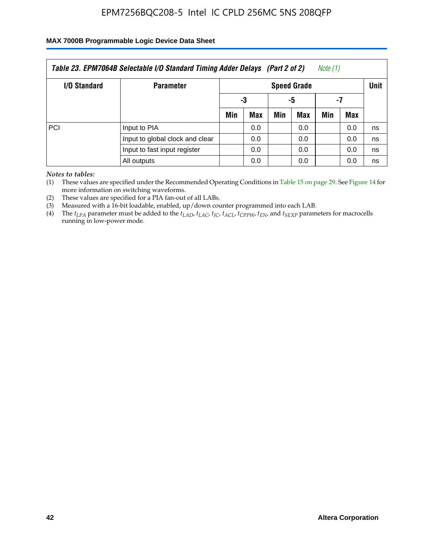### **MAX 7000B Programmable Logic Device Data Sheet**

|                     | Table 23. EPM7064B Selectable I/O Standard Timing Adder Delays (Part 2 of 2) |     |                    |     |     | Note (1) |     |    |  |  |
|---------------------|------------------------------------------------------------------------------|-----|--------------------|-----|-----|----------|-----|----|--|--|
| <b>I/O Standard</b> | <b>Parameter</b>                                                             |     | <b>Speed Grade</b> |     |     |          |     |    |  |  |
|                     |                                                                              |     | -3                 |     | -5  | -7       |     |    |  |  |
|                     |                                                                              | Min | Max                | Min | Max | Min      | Max |    |  |  |
| PCI                 | Input to PIA                                                                 |     | 0.0                |     | 0.0 |          | 0.0 | ns |  |  |
|                     | Input to global clock and clear                                              |     | 0.0                |     | 0.0 |          | 0.0 | ns |  |  |
|                     | Input to fast input register                                                 |     | 0.0                |     | 0.0 |          | 0.0 | ns |  |  |
|                     | All outputs                                                                  |     | 0.0                |     | 0.0 |          | 0.0 | ns |  |  |

*Notes to tables:*

(1) These values are specified under the Recommended Operating Conditions in Table 15 on page 29. See Figure 14 for more information on switching waveforms.

(2) These values are specified for a PIA fan-out of all LABs.

(3) Measured with a 16-bit loadable, enabled, up/down counter programmed into each LAB.

(4) The  $t_{LPA}$  parameter must be added to the  $t_{LAD}$ ,  $t_{LAC}$ ,  $t_{IC}$ ,  $t_{ACL}$ ,  $t_{CPPW}$ ,  $t_{EN}$ , and  $t_{SEXP}$  parameters for macrocells running in low-power mode.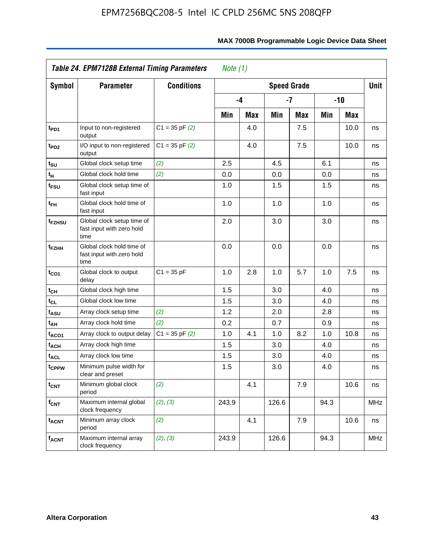|                               | Table 24. EPM7128B External Timing Parameters                   |                    | Note $(1)$ |            |       |                    |      |            |            |
|-------------------------------|-----------------------------------------------------------------|--------------------|------------|------------|-------|--------------------|------|------------|------------|
| Symbol                        | <b>Parameter</b>                                                | <b>Conditions</b>  |            |            |       | <b>Speed Grade</b> |      |            | Unit       |
|                               |                                                                 |                    |            | -4         |       | $-7$               |      | $-10$      |            |
|                               |                                                                 |                    | Min        | <b>Max</b> | Min   | <b>Max</b>         | Min  | <b>Max</b> |            |
| t <sub>PD1</sub>              | Input to non-registered<br>output                               | $C1 = 35$ pF $(2)$ |            | 4.0        |       | 7.5                |      | 10.0       | ns         |
| t <sub>PD2</sub>              | I/O input to non-registered<br>output                           | $C1 = 35$ pF $(2)$ |            | 4.0        |       | 7.5                |      | 10.0       | ns         |
| $t_{\scriptstyle\textrm{SU}}$ | Global clock setup time                                         | (2)                | 2.5        |            | 4.5   |                    | 6.1  |            | ns         |
| t <sub>Η</sub>                | Global clock hold time                                          | (2)                | 0.0        |            | 0.0   |                    | 0.0  |            | ns         |
| t <sub>FSU</sub>              | Global clock setup time of<br>fast input                        |                    | 1.0        |            | 1.5   |                    | 1.5  |            | ns         |
| t <sub>FH</sub>               | Global clock hold time of<br>fast input                         |                    | 1.0        |            | 1.0   |                    | 1.0  |            | ns         |
| t <sub>FZHSU</sub>            | Global clock setup time of<br>fast input with zero hold<br>time |                    | 2.0        |            | 3.0   |                    | 3.0  |            | ns         |
| t <sub>FZНН</sub>             | Global clock hold time of<br>fast input with zero hold<br>time  |                    | 0.0        |            | 0.0   |                    | 0.0  |            | ns         |
| t <sub>CO1</sub>              | Global clock to output<br>delay                                 | $C1 = 35 pF$       | 1.0        | 2.8        | 1.0   | 5.7                | 1.0  | 7.5        | ns         |
| tсн                           | Global clock high time                                          |                    | 1.5        |            | 3.0   |                    | 4.0  |            | ns         |
| tcL                           | Global clock low time                                           |                    | 1.5        |            | 3.0   |                    | 4.0  |            | ns         |
| tasu                          | Array clock setup time                                          | (2)                | 1.2        |            | 2.0   |                    | 2.8  |            | ns         |
| t <sub>АН</sub>               | Array clock hold time                                           | (2)                | 0.2        |            | 0.7   |                    | 0.9  |            | ns         |
| t <sub>ACO1</sub>             | Array clock to output delay                                     | $C1 = 35$ pF $(2)$ | 1.0        | 4.1        | 1.0   | 8.2                | 1.0  | 10.8       | ns         |
| t <sub>ACH</sub>              | Array clock high time                                           |                    | 1.5        |            | 3.0   |                    | 4.0  |            | ns         |
| t <sub>ACL</sub>              | Array clock low time                                            |                    | 1.5        |            | 3.0   |                    | 4.0  |            | ns         |
| t <sub>CPPW</sub>             | Minimum pulse width for<br>clear and preset                     |                    | 1.5        |            | 3.0   |                    | 4.0  |            | ns         |
| $t_{\text{CNT}}$              | Minimum global clock<br>period                                  | (2)                |            | 4.1        |       | 7.9                |      | 10.6       | ns         |
| $f_{\mathsf{CNT}}$            | Maximum internal global<br>clock frequency                      | (2), (3)           | 243.9      |            | 126.6 |                    | 94.3 |            | <b>MHz</b> |
| <b>t<sub>ACNT</sub></b>       | Minimum array clock<br>period                                   | (2)                |            | 4.1        |       | 7.9                |      | 10.6       | ns         |
| $f_{ACNT}$                    | Maximum internal array<br>clock frequency                       | (2), (3)           | 243.9      |            | 126.6 |                    | 94.3 |            | <b>MHz</b> |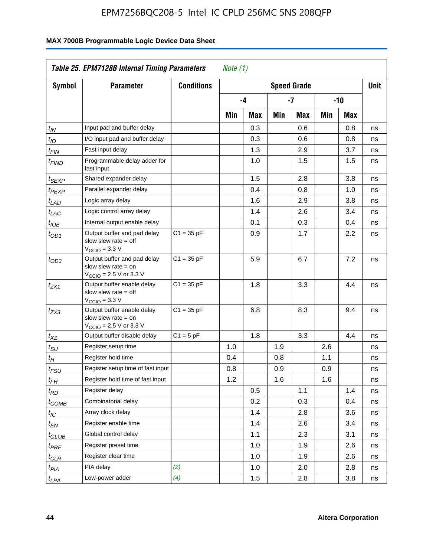| Symbol                      | <b>Parameter</b>                                                                                            | <b>Conditions</b> |     |     |     | <b>Speed Grade</b> |     |            | <b>Unit</b> |
|-----------------------------|-------------------------------------------------------------------------------------------------------------|-------------------|-----|-----|-----|--------------------|-----|------------|-------------|
|                             |                                                                                                             |                   |     | -4  |     | -7                 |     | -10        |             |
|                             |                                                                                                             |                   | Min | Max | Min | Max                | Min | <b>Max</b> |             |
| $t_{IN}$                    | Input pad and buffer delay                                                                                  |                   |     | 0.3 |     | 0.6                |     | 0.8        | ns          |
| $t_{IO}$                    | I/O input pad and buffer delay                                                                              |                   |     | 0.3 |     | 0.6                |     | 0.8        | ns          |
| $t_{\sf FIN}$               | Fast input delay                                                                                            |                   |     | 1.3 |     | 2.9                |     | 3.7        | ns          |
| <sup>t</sup> FIND           | Programmable delay adder for<br>fast input                                                                  |                   |     | 1.0 |     | 1.5                |     | 1.5        | ns          |
| t <sub>SEXP</sub>           | Shared expander delay                                                                                       |                   |     | 1.5 |     | 2.8                |     | 3.8        | ns          |
| t <sub>PEXP</sub>           | Parallel expander delay                                                                                     |                   |     | 0.4 |     | 0.8                |     | 1.0        | ns          |
| $t_{LAD}$                   | Logic array delay                                                                                           |                   |     | 1.6 |     | 2.9                |     | 3.8        | ns          |
| $t_{LAC}$                   | Logic control array delay                                                                                   |                   |     | 1.4 |     | 2.6                |     | 3.4        | ns          |
| $t_{IOE}$                   | Internal output enable delay                                                                                |                   |     | 0.1 |     | 0.3                |     | 0.4        | ns          |
| $t_{OD1}$                   | Output buffer and pad delay<br>slow slew rate $=$ off<br>$V_{\text{CCIO}} = 3.3 \text{ V}$                  | $C1 = 35 pF$      |     | 0.9 |     | 1.7                |     | 2.2        | ns          |
| $t_{OD3}$                   | Output buffer and pad delay<br>slow slew rate $=$ on<br>$V_{\text{CCIO}} = 2.5 \text{ V or } 3.3 \text{ V}$ | $C1 = 35 pF$      |     | 5.9 |     | 6.7                |     | 7.2        | ns          |
| $t_{ZX1}$                   | Output buffer enable delay<br>slow slew rate $=$ off<br>$V_{\text{CCIO}} = 3.3 \text{ V}$                   | $C1 = 35 pF$      |     | 1.8 |     | 3.3                |     | 4.4        | ns          |
| $t_{ZX3}$                   | Output buffer enable delay<br>slow slew rate $=$ on<br>$V_{\text{CCIO}} = 2.5 \text{ V or } 3.3 \text{ V}$  | $C1 = 35 pF$      |     | 6.8 |     | 8.3                |     | 9.4        | ns          |
| $t_{XZ}$                    | Output buffer disable delay                                                                                 | $C1 = 5pF$        |     | 1.8 |     | 3.3                |     | 4.4        | ns          |
| $t_{\scriptstyle\text{SU}}$ | Register setup time                                                                                         |                   | 1.0 |     | 1.9 |                    | 2.6 |            | ns          |
| $t_H$                       | Register hold time                                                                                          |                   | 0.4 |     | 0.8 |                    | 1.1 |            | ns          |
| $t_{FSU}$                   | Register setup time of fast input                                                                           |                   | 0.8 |     | 0.9 |                    | 0.9 |            | ns          |
| t <sub>FH</sub>             | Register hold time of fast input                                                                            |                   | 1.2 |     | 1.6 |                    | 1.6 |            | ns          |
| $t_{RD}$                    | Register delay                                                                                              |                   |     | 0.5 |     | 1.1                |     | 1.4        | ns          |
| $t_{\rm COMB}$              | Combinatorial delay                                                                                         |                   |     | 0.2 |     | 0.3                |     | 0.4        | ns          |
| $t_{\mathcal{IC}}$          | Array clock delay                                                                                           |                   |     | 1.4 |     | 2.8                |     | 3.6        | ns          |
| $t_{EN}$                    | Register enable time                                                                                        |                   |     | 1.4 |     | 2.6                |     | 3.4        | ns          |
| t <sub>GLOB</sub>           | Global control delay                                                                                        |                   |     | 1.1 |     | 2.3                |     | 3.1        | ns          |
| $t_{PRE}$                   | Register preset time                                                                                        |                   |     | 1.0 |     | 1.9                |     | 2.6        | ns          |
| $t_{\text{CLR}}$            | Register clear time                                                                                         |                   |     | 1.0 |     | 1.9                |     | 2.6        | ns          |
| $t_{PI\underline{A}}$       | PIA delay                                                                                                   | (2)               |     | 1.0 |     | 2.0                |     | 2.8        | ns          |
| $t_{LPA}$                   | Low-power adder                                                                                             | (4)               |     | 1.5 |     | 2.8                |     | 3.8        | ns          |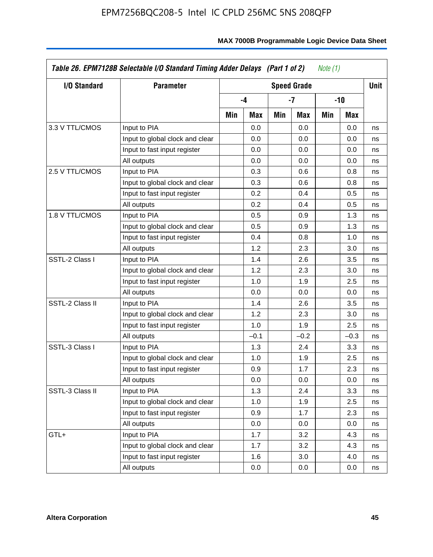| I/O Standard    | <b>Parameter</b>                |     |        |     | <b>Speed Grade</b> |     |        | <b>Unit</b> |
|-----------------|---------------------------------|-----|--------|-----|--------------------|-----|--------|-------------|
|                 |                                 |     | -4     |     | -7                 |     | -10    |             |
|                 |                                 | Min | Max    | Min | Max                | Min | Max    |             |
| 3.3 V TTL/CMOS  | Input to PIA                    |     | 0.0    |     | 0.0                |     | 0.0    | ns          |
|                 | Input to global clock and clear |     | 0.0    |     | 0.0                |     | 0.0    | ns          |
|                 | Input to fast input register    |     | 0.0    |     | 0.0                |     | 0.0    | ns          |
|                 | All outputs                     |     | 0.0    |     | 0.0                |     | 0.0    | ns          |
| 2.5 V TTL/CMOS  | Input to PIA                    |     | 0.3    |     | 0.6                |     | 0.8    | ns          |
|                 | Input to global clock and clear |     | 0.3    |     | 0.6                |     | 0.8    | ns          |
|                 | Input to fast input register    |     | 0.2    |     | 0.4                |     | 0.5    | ns          |
|                 | All outputs                     |     | 0.2    |     | 0.4                |     | 0.5    | ns          |
| 1.8 V TTL/CMOS  | Input to PIA                    |     | 0.5    |     | 0.9                |     | 1.3    | ns          |
|                 | Input to global clock and clear |     | 0.5    |     | 0.9                |     | 1.3    | ns          |
|                 | Input to fast input register    |     | 0.4    |     | 0.8                |     | 1.0    | ns          |
|                 | All outputs                     |     | 1.2    |     | 2.3                |     | 3.0    | ns          |
| SSTL-2 Class I  | Input to PIA                    |     | 1.4    |     | 2.6                |     | 3.5    | ns          |
|                 | Input to global clock and clear |     | 1.2    |     | 2.3                |     | 3.0    | ns          |
|                 | Input to fast input register    |     | 1.0    |     | 1.9                |     | 2.5    | ns          |
|                 | All outputs                     |     | 0.0    |     | 0.0                |     | 0.0    | ns          |
| SSTL-2 Class II | Input to PIA                    |     | 1.4    |     | 2.6                |     | 3.5    | ns          |
|                 | Input to global clock and clear |     | 1.2    |     | 2.3                |     | 3.0    | ns          |
|                 | Input to fast input register    |     | 1.0    |     | 1.9                |     | 2.5    | ns          |
|                 | All outputs                     |     | $-0.1$ |     | $-0.2$             |     | $-0.3$ | ns          |
| SSTL-3 Class I  | Input to PIA                    |     | 1.3    |     | 2.4                |     | 3.3    | ns          |
|                 | Input to global clock and clear |     | 1.0    |     | 1.9                |     | 2.5    | ns          |
|                 | Input to fast input register    |     | 0.9    |     | 1.7                |     | 2.3    | ns          |
|                 | All outputs                     |     | 0.0    |     | 0.0                |     | 0.0    | ns          |
| SSTL-3 Class II | Input to PIA                    |     | 1.3    |     | 2.4                |     | 3.3    | ns          |
|                 | Input to global clock and clear |     | 1.0    |     | 1.9                |     | 2.5    | ns          |
|                 | Input to fast input register    |     | 0.9    |     | 1.7                |     | 2.3    | ns          |
|                 | All outputs                     |     | 0.0    |     | 0.0                |     | 0.0    | ns          |
| GTL+            | Input to PIA                    |     | 1.7    |     | 3.2                |     | 4.3    | ns          |
|                 | Input to global clock and clear |     | 1.7    |     | 3.2                |     | 4.3    | ns          |
|                 | Input to fast input register    |     | 1.6    |     | 3.0                |     | 4.0    | ns          |
|                 | All outputs                     |     | 0.0    |     | 0.0                |     | 0.0    | ns          |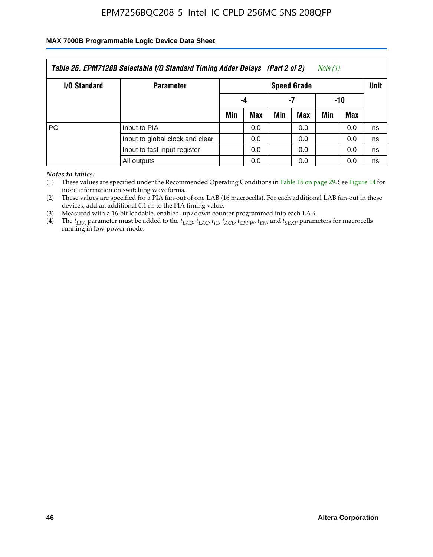### **MAX 7000B Programmable Logic Device Data Sheet**

| Table 26. EPM7128B Selectable I/O Standard Timing Adder Delays (Part 2 of 2)<br>Note (1) |                                 |                    |     |     |     |     |      |    |  |
|------------------------------------------------------------------------------------------|---------------------------------|--------------------|-----|-----|-----|-----|------|----|--|
| <b>I/O Standard</b>                                                                      | <b>Parameter</b>                | <b>Speed Grade</b> |     |     |     |     | Unit |    |  |
|                                                                                          |                                 | -4                 |     | -7  |     | -10 |      |    |  |
|                                                                                          |                                 | Min                | Max | Min | Max | Min | Max  |    |  |
| PCI                                                                                      | Input to PIA                    |                    | 0.0 |     | 0.0 |     | 0.0  | ns |  |
|                                                                                          | Input to global clock and clear |                    | 0.0 |     | 0.0 |     | 0.0  | ns |  |
|                                                                                          | Input to fast input register    |                    | 0.0 |     | 0.0 |     | 0.0  | ns |  |
|                                                                                          | All outputs                     |                    | 0.0 |     | 0.0 |     | 0.0  | ns |  |

*Notes to tables:*

(1) These values are specified under the Recommended Operating Conditions in Table 15 on page 29. See Figure 14 for more information on switching waveforms.

(2) These values are specified for a PIA fan-out of one LAB (16 macrocells). For each additional LAB fan-out in these devices, add an additional 0.1 ns to the PIA timing value.

(3) Measured with a 16-bit loadable, enabled, up/down counter programmed into each LAB.

(4) The  $t_{LPA}$  parameter must be added to the  $t_{LAP}$ ,  $t_{LAC}$ ,  $t_{IC}$ ,  $t_{ACL}$ ,  $t_{CPPW}$ ,  $t_{EN}$ , and  $t_{SEXP}$  parameters for macrocells running in low-power mode.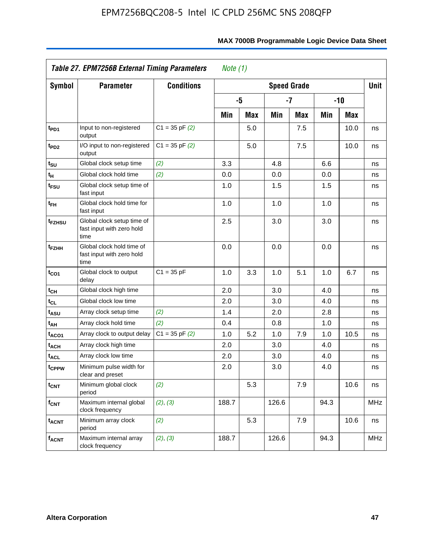|                              | Table 27. EPM7256B External Timing Parameters                   |                    |       |            |       |                    |       |            |             |
|------------------------------|-----------------------------------------------------------------|--------------------|-------|------------|-------|--------------------|-------|------------|-------------|
| <b>Symbol</b>                | Parameter                                                       | <b>Conditions</b>  |       |            |       | <b>Speed Grade</b> |       |            | <b>Unit</b> |
|                              |                                                                 |                    |       | -5         |       | -7                 | $-10$ |            |             |
|                              |                                                                 |                    | Min   | <b>Max</b> | Min   | <b>Max</b>         | Min   | <b>Max</b> |             |
| t <sub>PD1</sub>             | Input to non-registered<br>output                               | $C1 = 35$ pF $(2)$ |       | 5.0        |       | 7.5                |       | 10.0       | ns          |
| t <sub>PD2</sub>             | I/O input to non-registered<br>output                           | $C1 = 35$ pF $(2)$ |       | 5.0        |       | 7.5                |       | 10.0       | ns          |
| t <sub>SU</sub>              | Global clock setup time                                         | (2)                | 3.3   |            | 4.8   |                    | 6.6   |            | ns          |
| t <sub>Η</sub>               | Global clock hold time                                          | (2)                | 0.0   |            | 0.0   |                    | 0.0   |            | ns          |
| $t_{FSU}$                    | Global clock setup time of<br>fast input                        |                    | 1.0   |            | 1.5   |                    | 1.5   |            | ns          |
| t <sub>FH</sub>              | Global clock hold time for<br>fast input                        |                    | 1.0   |            | 1.0   |                    | 1.0   |            | ns          |
| t <sub>FZHSU</sub>           | Global clock setup time of<br>fast input with zero hold<br>time |                    | 2.5   |            | 3.0   |                    | 3.0   |            | ns          |
| t <sub>FZHH</sub>            | Global clock hold time of<br>fast input with zero hold<br>time  |                    | 0.0   |            | 0.0   |                    | 0.0   |            | ns          |
| $t_{CO1}$                    | Global clock to output<br>delay                                 | $C1 = 35 pF$       | 1.0   | 3.3        | 1.0   | 5.1                | 1.0   | 6.7        | ns          |
| $\mathfrak{t}_{\textsf{CH}}$ | Global clock high time                                          |                    | 2.0   |            | 3.0   |                    | 4.0   |            | ns          |
| $t_{CL}$                     | Global clock low time                                           |                    | 2.0   |            | 3.0   |                    | 4.0   |            | ns          |
| t <sub>ASU</sub>             | Array clock setup time                                          | (2)                | 1.4   |            | 2.0   |                    | 2.8   |            | ns          |
| t <sub>АН</sub>              | Array clock hold time                                           | (2)                | 0.4   |            | 0.8   |                    | 1.0   |            | ns          |
| t <sub>ACO1</sub>            | Array clock to output delay                                     | $C1 = 35$ pF $(2)$ | 1.0   | 5.2        | 1.0   | 7.9                | 1.0   | 10.5       | ns          |
| t <sub>ACH</sub>             | Array clock high time                                           |                    | 2.0   |            | 3.0   |                    | 4.0   |            | ns          |
| <sup>t</sup> ACL             | Array clock low time                                            |                    | 2.0   |            | 3.0   |                    | 4.0   |            | ns          |
| t <sub>CPPW</sub>            | Minimum pulse width for<br>clear and preset                     |                    | 2.0   |            | 3.0   |                    | 4.0   |            | ns          |
| <b>t<sub>CNT</sub></b>       | Minimum global clock<br>period                                  | (2)                |       | 5.3        |       | 7.9                |       | 10.6       | ns          |
| $f_{CNT}$                    | Maximum internal global<br>clock frequency                      | (2), (3)           | 188.7 |            | 126.6 |                    | 94.3  |            | <b>MHz</b>  |
| $t_{ACNT}$                   | Minimum array clock<br>period                                   | (2)                |       | 5.3        |       | 7.9                |       | 10.6       | ns          |
| <b>f<sub>ACNT</sub></b>      | Maximum internal array<br>clock frequency                       | (2), (3)           | 188.7 |            | 126.6 |                    | 94.3  |            | <b>MHz</b>  |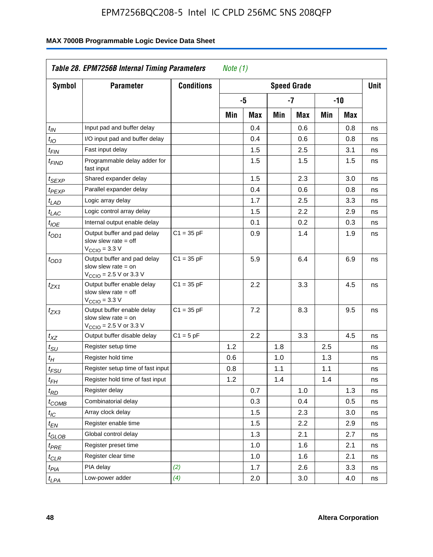| Symbol                      | <b>Parameter</b>                                                                                            | <b>Conditions</b> | <b>Speed Grade</b> |                  |     |     |     |       |    |
|-----------------------------|-------------------------------------------------------------------------------------------------------------|-------------------|--------------------|------------------|-----|-----|-----|-------|----|
|                             |                                                                                                             |                   |                    | -5               |     | -7  |     | $-10$ |    |
|                             |                                                                                                             |                   | Min                | Max              | Min | Max | Min | Max   |    |
| $t_{IN}$                    | Input pad and buffer delay                                                                                  |                   |                    | 0.4              |     | 0.6 |     | 0.8   | ns |
| $t_{IO}$                    | I/O input pad and buffer delay                                                                              |                   |                    | 0.4              |     | 0.6 |     | 0.8   | ns |
| $t_{\sf FIN}$               | Fast input delay                                                                                            |                   |                    | 1.5              |     | 2.5 |     | 3.1   | ns |
| <sup>t</sup> FIND           | Programmable delay adder for<br>fast input                                                                  |                   |                    | 1.5              |     | 1.5 |     | 1.5   | ns |
| t <sub>SEXP</sub>           | Shared expander delay                                                                                       |                   |                    | 1.5              |     | 2.3 |     | 3.0   | ns |
| t <sub>PEXP</sub>           | Parallel expander delay                                                                                     |                   |                    | 0.4              |     | 0.6 |     | 0.8   | ns |
| $t_{LAD}$                   | Logic array delay                                                                                           |                   |                    | 1.7              |     | 2.5 |     | 3.3   | ns |
| $t_{LAC}$                   | Logic control array delay                                                                                   |                   |                    | 1.5              |     | 2.2 |     | 2.9   | ns |
| $t_{\mathit{IOE}}$          | Internal output enable delay                                                                                |                   |                    | 0.1              |     | 0.2 |     | 0.3   | ns |
| $t_{OD1}$                   | Output buffer and pad delay<br>slow slew rate $=$ off<br>$V_{\text{CCIO}} = 3.3 \text{ V}$                  | $C1 = 35 pF$      |                    | 0.9              |     | 1.4 |     | 1.9   | ns |
| $t_{OD3}$                   | Output buffer and pad delay<br>slow slew rate $=$ on<br>$V_{\text{CCIO}} = 2.5 \text{ V or } 3.3 \text{ V}$ | $C1 = 35 pF$      |                    | 5.9              |     | 6.4 |     | 6.9   | ns |
| $t_{ZX1}$                   | Output buffer enable delay<br>slow slew rate $=$ off<br>$V_{\text{CCIO}} = 3.3 \text{ V}$                   | $C1 = 35 pF$      |                    | $2.2\phantom{0}$ |     | 3.3 |     | 4.5   | ns |
| $t_{ZX3}$                   | Output buffer enable delay<br>slow slew rate $=$ on<br>$V_{\text{CCIO}} = 2.5 \text{ V or } 3.3 \text{ V}$  | $C1 = 35 pF$      |                    | 7.2              |     | 8.3 |     | 9.5   | ns |
| $t_{XZ}$                    | Output buffer disable delay                                                                                 | $C1 = 5pF$        |                    | 2.2              |     | 3.3 |     | 4.5   | ns |
| $t_{\scriptstyle\text{SU}}$ | Register setup time                                                                                         |                   | 1.2                |                  | 1.8 |     | 2.5 |       | ns |
| $t_H$                       | Register hold time                                                                                          |                   | 0.6                |                  | 1.0 |     | 1.3 |       | ns |
| $t_{FSU}$                   | Register setup time of fast input                                                                           |                   | 0.8                |                  | 1.1 |     | 1.1 |       | ns |
| t <sub>FH</sub>             | Register hold time of fast input                                                                            |                   | 1.2                |                  | 1.4 |     | 1.4 |       | ns |
| $t_{RD}$                    | Register delay                                                                                              |                   |                    | 0.7              |     | 1.0 |     | 1.3   | ns |
| $t_{\rm COMB}$              | Combinatorial delay                                                                                         |                   |                    | 0.3              |     | 0.4 |     | 0.5   | ns |
| $t_{\mathcal{IC}}$          | Array clock delay                                                                                           |                   |                    | 1.5              |     | 2.3 |     | 3.0   | ns |
| $t_{EN}$                    | Register enable time                                                                                        |                   |                    | 1.5              |     | 2.2 |     | 2.9   | ns |
| t <sub>GLOB</sub>           | Global control delay                                                                                        |                   |                    | 1.3              |     | 2.1 |     | 2.7   | ns |
| $t_{PRE}$                   | Register preset time                                                                                        |                   |                    | 1.0              |     | 1.6 |     | 2.1   | ns |
| $t_{\text{CLR}}$            | Register clear time                                                                                         |                   |                    | 1.0              |     | 1.6 |     | 2.1   | ns |
| $t_{PI\underline{A}}$       | PIA delay                                                                                                   | (2)               |                    | 1.7              |     | 2.6 |     | 3.3   | ns |
| $t_{LPA}$                   | Low-power adder                                                                                             | (4)               |                    | 2.0              |     | 3.0 |     | 4.0   | ns |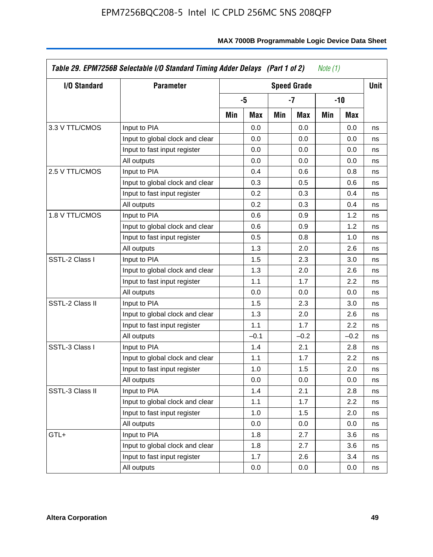| I/O Standard    | <b>Parameter</b>                | <b>Speed Grade</b> |        |     |        |     |        | <b>Unit</b> |
|-----------------|---------------------------------|--------------------|--------|-----|--------|-----|--------|-------------|
|                 |                                 |                    | -5     |     | $-7$   |     | $-10$  |             |
|                 |                                 | Min                | Max    | Min | Max    | Min | Max    |             |
| 3.3 V TTL/CMOS  | Input to PIA                    |                    | 0.0    |     | 0.0    |     | 0.0    | ns          |
|                 | Input to global clock and clear |                    | 0.0    |     | 0.0    |     | 0.0    | ns          |
|                 | Input to fast input register    |                    | 0.0    |     | 0.0    |     | 0.0    | ns          |
|                 | All outputs                     |                    | 0.0    |     | 0.0    |     | 0.0    | ns          |
| 2.5 V TTL/CMOS  | Input to PIA                    |                    | 0.4    |     | 0.6    |     | 0.8    | ns          |
|                 | Input to global clock and clear |                    | 0.3    |     | 0.5    |     | 0.6    | ns          |
|                 | Input to fast input register    |                    | 0.2    |     | 0.3    |     | 0.4    | ns          |
|                 | All outputs                     |                    | 0.2    |     | 0.3    |     | 0.4    | ns          |
| 1.8 V TTL/CMOS  | Input to PIA                    |                    | 0.6    |     | 0.9    |     | 1.2    | ns          |
|                 | Input to global clock and clear |                    | 0.6    |     | 0.9    |     | 1.2    | ns          |
|                 | Input to fast input register    |                    | 0.5    |     | 0.8    |     | 1.0    | ns          |
|                 | All outputs                     |                    | 1.3    |     | 2.0    |     | 2.6    | ns          |
| SSTL-2 Class I  | Input to PIA                    |                    | 1.5    |     | 2.3    |     | 3.0    | ns          |
|                 | Input to global clock and clear |                    | 1.3    |     | 2.0    |     | 2.6    | ns          |
|                 | Input to fast input register    |                    | 1.1    |     | 1.7    |     | 2.2    | ns          |
|                 | All outputs                     |                    | 0.0    |     | 0.0    |     | 0.0    | ns          |
| SSTL-2 Class II | Input to PIA                    |                    | 1.5    |     | 2.3    |     | 3.0    | ns          |
|                 | Input to global clock and clear |                    | 1.3    |     | 2.0    |     | 2.6    | ns          |
|                 | Input to fast input register    |                    | 1.1    |     | 1.7    |     | 2.2    | ns          |
|                 | All outputs                     |                    | $-0.1$ |     | $-0.2$ |     | $-0.2$ | ns          |
| SSTL-3 Class I  | Input to PIA                    |                    | 1.4    |     | 2.1    |     | 2.8    | ns          |
|                 | Input to global clock and clear |                    | 1.1    |     | 1.7    |     | 2.2    | ns          |
|                 | Input to fast input register    |                    | 1.0    |     | 1.5    |     | 2.0    | ns          |
|                 | All outputs                     |                    | 0.0    |     | 0.0    |     | 0.0    | ns          |
| SSTL-3 Class II | Input to PIA                    |                    | 1.4    |     | 2.1    |     | 2.8    | ns          |
|                 | Input to global clock and clear |                    | 1.1    |     | 1.7    |     | 2.2    | ns          |
|                 | Input to fast input register    |                    | 1.0    |     | 1.5    |     | 2.0    | ns          |
|                 | All outputs                     |                    | 0.0    |     | 0.0    |     | 0.0    | ns          |
| GTL+            | Input to PIA                    |                    | 1.8    |     | 2.7    |     | 3.6    | ns          |
|                 | Input to global clock and clear |                    | 1.8    |     | 2.7    |     | 3.6    | ns          |
|                 | Input to fast input register    |                    | 1.7    |     | 2.6    |     | 3.4    | ns          |
|                 | All outputs                     |                    | 0.0    |     | 0.0    |     | 0.0    | ns          |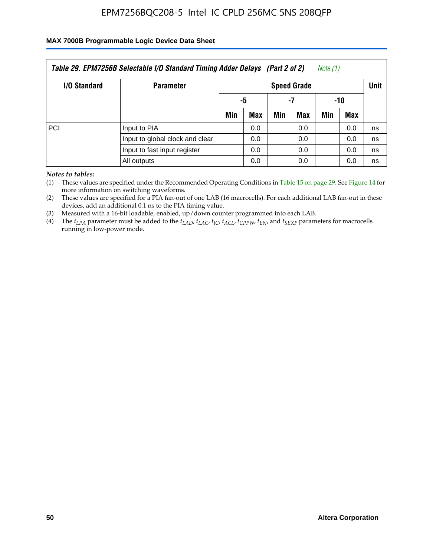### **MAX 7000B Programmable Logic Device Data Sheet**

| Table 29. EPM7256B Selectable I/O Standard Timing Adder Delays (Part 2 of 2)<br>Note (1) |                                 |                    |     |     |     |     |             |    |  |
|------------------------------------------------------------------------------------------|---------------------------------|--------------------|-----|-----|-----|-----|-------------|----|--|
| <b>I/O Standard</b>                                                                      | <b>Parameter</b>                | <b>Speed Grade</b> |     |     |     |     | <b>Unit</b> |    |  |
|                                                                                          |                                 | -5                 |     | -7  |     | -10 |             |    |  |
|                                                                                          |                                 | Min                | Max | Min | Max | Min | <b>Max</b>  |    |  |
| <b>PCI</b>                                                                               | Input to PIA                    |                    | 0.0 |     | 0.0 |     | 0.0         | ns |  |
|                                                                                          | Input to global clock and clear |                    | 0.0 |     | 0.0 |     | 0.0         | ns |  |
|                                                                                          | Input to fast input register    |                    | 0.0 |     | 0.0 |     | 0.0         | ns |  |
|                                                                                          | All outputs                     |                    | 0.0 |     | 0.0 |     | 0.0         | ns |  |

*Notes to tables:*

(1) These values are specified under the Recommended Operating Conditions in Table 15 on page 29. See Figure 14 for more information on switching waveforms.

(2) These values are specified for a PIA fan-out of one LAB (16 macrocells). For each additional LAB fan-out in these devices, add an additional 0.1 ns to the PIA timing value.

(3) Measured with a 16-bit loadable, enabled, up/down counter programmed into each LAB.

(4) The  $t_{LPA}$  parameter must be added to the  $t_{LAP}$ ,  $t_{LAP}$ ,  $t_{LCP}$ ,  $t_{ACL}$ ,  $t_{CPPW}$ ,  $t_{EN}$ , and  $t_{SEXP}$  parameters for macrocells running in low-power mode.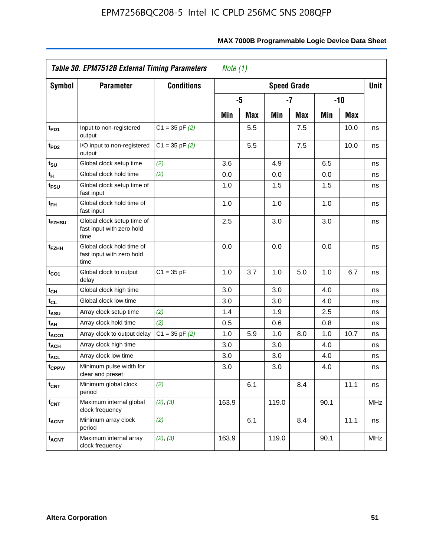|                         | Table 30. EPM7512B External Timing Parameters<br>Note $(1)$     |                    |       |            |       |                    |      |            |             |
|-------------------------|-----------------------------------------------------------------|--------------------|-------|------------|-------|--------------------|------|------------|-------------|
| Symbol                  | <b>Parameter</b>                                                | <b>Conditions</b>  |       |            |       | <b>Speed Grade</b> |      |            | <b>Unit</b> |
|                         |                                                                 |                    |       | -5         |       | $-7$               |      | $-10$      |             |
|                         |                                                                 |                    | Min   | <b>Max</b> | Min   | <b>Max</b>         | Min  | <b>Max</b> |             |
| t <sub>PD1</sub>        | Input to non-registered<br>output                               | $C1 = 35$ pF $(2)$ |       | 5.5        |       | 7.5                |      | 10.0       | ns          |
| t <sub>PD2</sub>        | I/O input to non-registered<br>output                           | $C1 = 35$ pF $(2)$ |       | 5.5        |       | 7.5                |      | 10.0       | ns          |
| $t_{\text{SU}}$         | Global clock setup time                                         | (2)                | 3.6   |            | 4.9   |                    | 6.5  |            | ns          |
| tμ                      | Global clock hold time                                          | (2)                | 0.0   |            | 0.0   |                    | 0.0  |            | ns          |
| t <sub>FSU</sub>        | Global clock setup time of<br>fast input                        |                    | 1.0   |            | 1.5   |                    | 1.5  |            | ns          |
| $t_{FH}$                | Global clock hold time of<br>fast input                         |                    | 1.0   |            | 1.0   |                    | 1.0  |            | ns          |
| t <sub>FZHSU</sub>      | Global clock setup time of<br>fast input with zero hold<br>time |                    | 2.5   |            | 3.0   |                    | 3.0  |            | ns          |
| t <sub>FZHH</sub>       | Global clock hold time of<br>fast input with zero hold<br>time  |                    | 0.0   |            | 0.0   |                    | 0.0  |            | ns          |
| $t_{CO1}$               | Global clock to output<br>delay                                 | $C1 = 35 pF$       | 1.0   | 3.7        | 1.0   | 5.0                | 1.0  | 6.7        | ns          |
| $t_{CH}$                | Global clock high time                                          |                    | 3.0   |            | 3.0   |                    | 4.0  |            | ns          |
| $t_{CL}$                | Global clock low time                                           |                    | 3.0   |            | 3.0   |                    | 4.0  |            | ns          |
| t <sub>ASU</sub>        | Array clock setup time                                          | (2)                | 1.4   |            | 1.9   |                    | 2.5  |            | ns          |
| t <sub>AH</sub>         | Array clock hold time                                           | (2)                | 0.5   |            | 0.6   |                    | 0.8  |            | ns          |
| t <sub>ACO1</sub>       | Array clock to output delay                                     | $C1 = 35$ pF $(2)$ | 1.0   | 5.9        | 1.0   | 8.0                | 1.0  | 10.7       | ns          |
| t <sub>ACH</sub>        | Array clock high time                                           |                    | 3.0   |            | 3.0   |                    | 4.0  |            | ns          |
| <b>t<sub>ACL</sub></b>  | Array clock low time                                            |                    | 3.0   |            | 3.0   |                    | 4.0  |            | ns          |
| tcppw                   | Minimum pulse width for<br>clear and preset                     |                    | 3.0   |            | 3.0   |                    | 4.0  |            | ns          |
| $t_{\text{CNT}}$        | Minimum global clock<br>period                                  | (2)                |       | 6.1        |       | 8.4                |      | 11.1       | ns          |
| $f_{CNT}$               | Maximum internal global<br>clock frequency                      | (2), (3)           | 163.9 |            | 119.0 |                    | 90.1 |            | <b>MHz</b>  |
| <b>t<sub>ACNT</sub></b> | Minimum array clock<br>period                                   | (2)                |       | 6.1        |       | 8.4                |      | 11.1       | ns          |
| f <sub>ACNT</sub>       | Maximum internal array<br>clock frequency                       | (2), (3)           | 163.9 |            | 119.0 |                    | 90.1 |            | <b>MHz</b>  |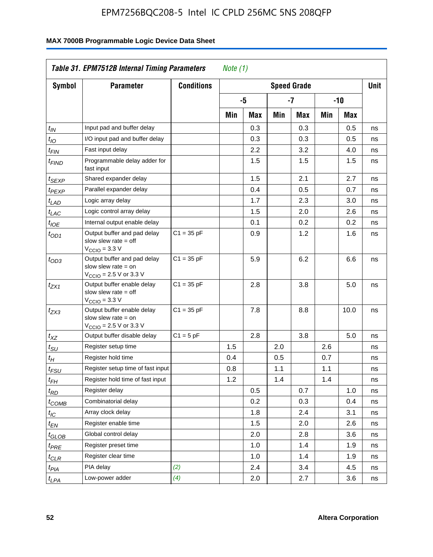| <b>Symbol</b>              | <b>Parameter</b>                                                                                            | <b>Conditions</b> | <b>Speed Grade</b> |     |     |      |     |      | <b>Unit</b> |
|----------------------------|-------------------------------------------------------------------------------------------------------------|-------------------|--------------------|-----|-----|------|-----|------|-------------|
|                            |                                                                                                             |                   |                    | -5  |     | $-7$ |     | -10  |             |
|                            |                                                                                                             |                   | Min                | Max | Min | Max  | Min | Max  |             |
| $t_{\mathsf{IN}}$          | Input pad and buffer delay                                                                                  |                   |                    | 0.3 |     | 0.3  |     | 0.5  | ns          |
| $t_{IO}$                   | I/O input pad and buffer delay                                                                              |                   |                    | 0.3 |     | 0.3  |     | 0.5  | ns          |
| $t_{\sf FIN}$              | Fast input delay                                                                                            |                   |                    | 2.2 |     | 3.2  |     | 4.0  | ns          |
| t <sub>FIND</sub>          | Programmable delay adder for<br>fast input                                                                  |                   |                    | 1.5 |     | 1.5  |     | 1.5  | ns          |
| t <sub>SEXP</sub>          | Shared expander delay                                                                                       |                   |                    | 1.5 |     | 2.1  |     | 2.7  | ns          |
| t <sub>PEXP</sub>          | Parallel expander delay                                                                                     |                   |                    | 0.4 |     | 0.5  |     | 0.7  | ns          |
| t <sub>LAD</sub>           | Logic array delay                                                                                           |                   |                    | 1.7 |     | 2.3  |     | 3.0  | ns          |
| $t_{LAC}$                  | Logic control array delay                                                                                   |                   |                    | 1.5 |     | 2.0  |     | 2.6  | ns          |
| $t_{IOE}$                  | Internal output enable delay                                                                                |                   |                    | 0.1 |     | 0.2  |     | 0.2  | ns          |
| $t_{OD1}$                  | Output buffer and pad delay<br>slow slew rate $=$ off<br>$V_{\text{CCIO}} = 3.3 \text{ V}$                  | $C1 = 35 pF$      |                    | 0.9 |     | 1.2  |     | 1.6  | ns          |
| $t_{OD3}$                  | Output buffer and pad delay<br>slow slew rate $=$ on<br>$V_{\text{CCIO}} = 2.5 \text{ V or } 3.3 \text{ V}$ | $C1 = 35 pF$      |                    | 5.9 |     | 6.2  |     | 6.6  | ns          |
| tzx1                       | Output buffer enable delay<br>slow slew rate $=$ off<br>$V_{\text{CCIO}} = 3.3 \text{ V}$                   | $C1 = 35 pF$      |                    | 2.8 |     | 3.8  |     | 5.0  | ns          |
| $t_{ZX3}$                  | Output buffer enable delay<br>slow slew rate $=$ on<br>$V_{\text{CCIO}} = 2.5 \text{ V or } 3.3 \text{ V}$  | $C1 = 35 pF$      |                    | 7.8 |     | 8.8  |     | 10.0 | ns          |
| $t_{XZ}$                   | Output buffer disable delay                                                                                 | $C1 = 5pF$        |                    | 2.8 |     | 3.8  |     | 5.0  | ns          |
| $t_{\text{SU}}$            | Register setup time                                                                                         |                   | 1.5                |     | 2.0 |      | 2.6 |      | ns          |
| $t_H$                      | Register hold time                                                                                          |                   | 0.4                |     | 0.5 |      | 0.7 |      | ns          |
| $t_{\mathit{FSU}}$         | Register setup time of fast input                                                                           |                   | 0.8                |     | 1.1 |      | 1.1 |      | ns          |
| t <sub>FH</sub>            | Register hold time of fast input                                                                            |                   | 1.2                |     | 1.4 |      | 1.4 |      | ns          |
| $t_{RD}$                   | Register delay                                                                                              |                   |                    | 0.5 |     | 0.7  |     | 1.0  | ns          |
| $t_{\rm COMB}$             | Combinatorial delay                                                                                         |                   |                    | 0.2 |     | 0.3  |     | 0.4  | ns          |
| $t_{IC}$                   | Array clock delay                                                                                           |                   |                    | 1.8 |     | 2.4  |     | 3.1  | ns          |
| $t_{EN}$                   | Register enable time                                                                                        |                   |                    | 1.5 |     | 2.0  |     | 2.6  | ns          |
| $t_{\scriptstyle\rm GLOB}$ | Global control delay                                                                                        |                   |                    | 2.0 |     | 2.8  |     | 3.6  | ns          |
| $t_{PRE}$                  | Register preset time                                                                                        |                   |                    | 1.0 |     | 1.4  |     | 1.9  | ns          |
| $t_{\text{CLR}}$           | Register clear time                                                                                         |                   |                    | 1.0 |     | 1.4  |     | 1.9  | ns          |
| t <sub>PIA</sub>           | PIA delay                                                                                                   | (2)               |                    | 2.4 |     | 3.4  |     | 4.5  | ns          |
| $t_{LPA}$                  | Low-power adder                                                                                             | (4)               |                    | 2.0 |     | 2.7  |     | 3.6  | ns          |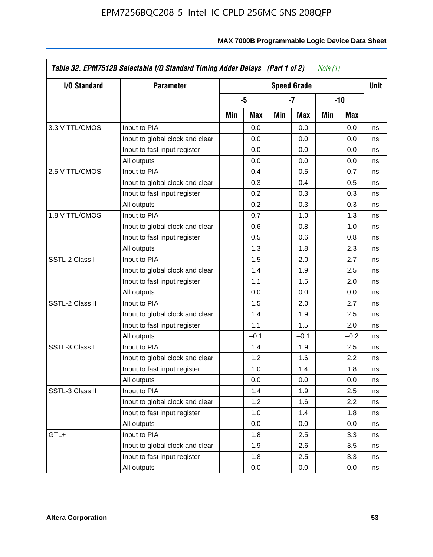| I/O Standard    | <b>Parameter</b>                | <b>Speed Grade</b> |        |     |        |     |        | <b>Unit</b> |
|-----------------|---------------------------------|--------------------|--------|-----|--------|-----|--------|-------------|
|                 |                                 |                    | -5     |     | $-7$   |     | -10    |             |
|                 |                                 | Min                | Max    | Min | Max    | Min | Max    |             |
| 3.3 V TTL/CMOS  | Input to PIA                    |                    | 0.0    |     | 0.0    |     | 0.0    | ns          |
|                 | Input to global clock and clear |                    | 0.0    |     | 0.0    |     | 0.0    | ns          |
|                 | Input to fast input register    |                    | 0.0    |     | 0.0    |     | 0.0    | ns          |
|                 | All outputs                     |                    | 0.0    |     | 0.0    |     | 0.0    | ns          |
| 2.5 V TTL/CMOS  | Input to PIA                    |                    | 0.4    |     | 0.5    |     | 0.7    | ns          |
|                 | Input to global clock and clear |                    | 0.3    |     | 0.4    |     | 0.5    | ns          |
|                 | Input to fast input register    |                    | 0.2    |     | 0.3    |     | 0.3    | ns          |
|                 | All outputs                     |                    | 0.2    |     | 0.3    |     | 0.3    | ns          |
| 1.8 V TTL/CMOS  | Input to PIA                    |                    | 0.7    |     | 1.0    |     | 1.3    | ns          |
|                 | Input to global clock and clear |                    | 0.6    |     | 0.8    |     | 1.0    | ns          |
|                 | Input to fast input register    |                    | 0.5    |     | 0.6    |     | 0.8    | ns          |
|                 | All outputs                     |                    | 1.3    |     | 1.8    |     | 2.3    | ns          |
| SSTL-2 Class I  | Input to PIA                    |                    | 1.5    |     | 2.0    |     | 2.7    | ns          |
|                 | Input to global clock and clear |                    | 1.4    |     | 1.9    |     | 2.5    | ns          |
|                 | Input to fast input register    |                    | 1.1    |     | 1.5    |     | 2.0    | ns          |
|                 | All outputs                     |                    | 0.0    |     | 0.0    |     | 0.0    | ns          |
| SSTL-2 Class II | Input to PIA                    |                    | 1.5    |     | 2.0    |     | 2.7    | ns          |
|                 | Input to global clock and clear |                    | 1.4    |     | 1.9    |     | 2.5    | ns          |
|                 | Input to fast input register    |                    | 1.1    |     | 1.5    |     | 2.0    | ns          |
|                 | All outputs                     |                    | $-0.1$ |     | $-0.1$ |     | $-0.2$ | ns          |
| SSTL-3 Class I  | Input to PIA                    |                    | 1.4    |     | 1.9    |     | 2.5    | ns          |
|                 | Input to global clock and clear |                    | 1.2    |     | 1.6    |     | 2.2    | ns          |
|                 | Input to fast input register    |                    | 1.0    |     | 1.4    |     | 1.8    | ns          |
|                 | All outputs                     |                    | 0.0    |     | 0.0    |     | 0.0    | ns          |
| SSTL-3 Class II | Input to PIA                    |                    | 1.4    |     | 1.9    |     | 2.5    | ns          |
|                 | Input to global clock and clear |                    | 1.2    |     | 1.6    |     | 2.2    | ns          |
|                 | Input to fast input register    |                    | 1.0    |     | 1.4    |     | 1.8    | ns          |
|                 | All outputs                     |                    | 0.0    |     | 0.0    |     | 0.0    | ns          |
| GTL+            | Input to PIA                    |                    | 1.8    |     | 2.5    |     | 3.3    | ns          |
|                 | Input to global clock and clear |                    | 1.9    |     | 2.6    |     | 3.5    | ns          |
|                 | Input to fast input register    |                    | 1.8    |     | 2.5    |     | 3.3    | ns          |
|                 | All outputs                     |                    | 0.0    |     | 0.0    |     | 0.0    | ns          |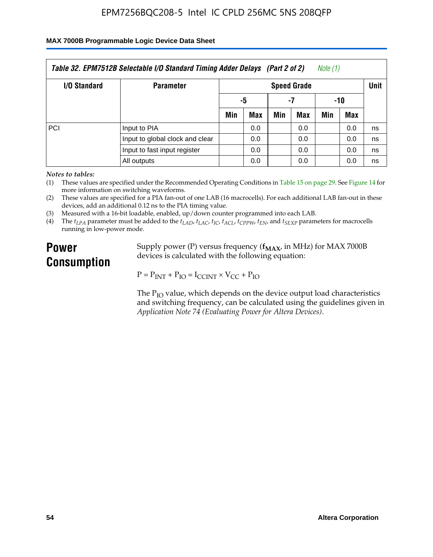#### **MAX 7000B Programmable Logic Device Data Sheet**

| Table 32. EPM7512B Selectable I/O Standard Timing Adder Delays (Part 2 of 2)<br>Note (1) |                                 |                    |            |     |     |     |             |    |  |
|------------------------------------------------------------------------------------------|---------------------------------|--------------------|------------|-----|-----|-----|-------------|----|--|
| <b>I/O Standard</b>                                                                      | <b>Parameter</b>                | <b>Speed Grade</b> |            |     |     |     | <b>Unit</b> |    |  |
|                                                                                          |                                 | -5                 |            | -7  |     | -10 |             |    |  |
|                                                                                          |                                 | Min                | <b>Max</b> | Min | Max | Min | <b>Max</b>  |    |  |
| <b>PCI</b>                                                                               | Input to PIA                    |                    | 0.0        |     | 0.0 |     | 0.0         | ns |  |
|                                                                                          | Input to global clock and clear |                    | 0.0        |     | 0.0 |     | 0.0         | ns |  |
|                                                                                          | Input to fast input register    |                    | 0.0        |     | 0.0 |     | 0.0         | ns |  |
|                                                                                          | All outputs                     |                    | 0.0        |     | 0.0 |     | 0.0         | ns |  |

*Notes to tables:*

(1) These values are specified under the Recommended Operating Conditions in Table 15 on page 29. See Figure 14 for more information on switching waveforms.

(2) These values are specified for a PIA fan-out of one LAB (16 macrocells). For each additional LAB fan-out in these devices, add an additional 0.12 ns to the PIA timing value.

(3) Measured with a 16-bit loadable, enabled, up/down counter programmed into each LAB.

(4) The  $t_{LPA}$  parameter must be added to the  $t_{LAD}$ ,  $t_{LAC}$ ,  $t_{IC}$ ,  $t_{ACL}$ ,  $t_{CPPW}$ ,  $t_{EN}$ , and  $t_{SEXP}$  parameters for macrocells running in low-power mode.

# **Power Consumption**

Supply power (P) versus frequency ( $f_{MAX}$ , in MHz) for MAX 7000B devices is calculated with the following equation:

 $P = P_{INT} + P_{IO} = I_{CCINT} \times V_{CC} + P_{IO}$ 

The  $P_{IO}$  value, which depends on the device output load characteristics and switching frequency, can be calculated using the guidelines given in *Application Note 74 (Evaluating Power for Altera Devices)*.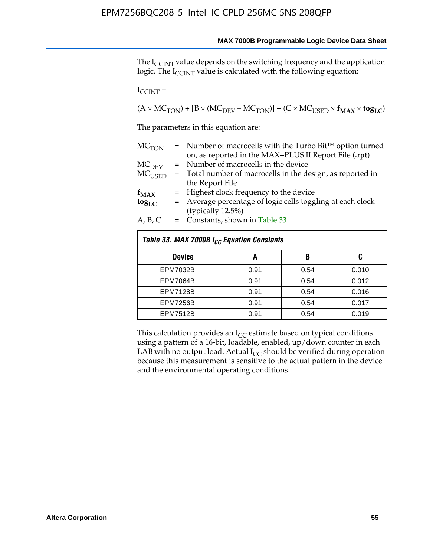The I<sub>CCINT</sub> value depends on the switching frequency and the application logic. The  $I_{\text{CCINT}}$  value is calculated with the following equation:

 $I_{\text{CCINT}} =$ 

 $(A \times MC_{TON}) + [B \times (MC_{DEV} - MC_{TON})] + (C \times MC_{USED} \times f_{MAX} \times tog_{LC})$ 

The parameters in this equation are:

| MC <sub>TON</sub> | $=$ Number of macrocells with the Turbo Bit <sup>TM</sup> option turned |
|-------------------|-------------------------------------------------------------------------|
|                   | on, as reported in the MAX+PLUS II Report File (.rpt)                   |
| MC <sub>DFV</sub> | = Number of macrocells in the device                                    |
| $MC_{\rm{USED}}$  | $=$ Total number of macrocells in the design, as reported in            |
|                   | the Report File                                                         |
| $f_{MAX}$         | = Highest clock frequency to the device                                 |
| $tog_{LC}$        | = Average percentage of logic cells toggling at each clock              |
|                   | (typically 12.5%)                                                       |
| A, B, C           | $=$ Constants, shown in Table 33                                        |
|                   |                                                                         |

| Table 33. MAX 7000B I <sub>CC</sub> Equation Constants |      |      |       |  |  |  |  |  |
|--------------------------------------------------------|------|------|-------|--|--|--|--|--|
| <b>Device</b>                                          | A    | B    | C     |  |  |  |  |  |
| <b>EPM7032B</b>                                        | 0.91 | 0.54 | 0.010 |  |  |  |  |  |
| <b>EPM7064B</b>                                        | 0.91 | 0.54 | 0.012 |  |  |  |  |  |
| <b>EPM7128B</b>                                        | 0.91 | 0.54 | 0.016 |  |  |  |  |  |
| <b>EPM7256B</b>                                        | 0.91 | 0.54 | 0.017 |  |  |  |  |  |
| <b>EPM7512B</b>                                        | 0.91 | 0.54 | 0.019 |  |  |  |  |  |

This calculation provides an  $I_{CC}$  estimate based on typical conditions using a pattern of a 16-bit, loadable, enabled, up/down counter in each LAB with no output load. Actual  $I_{CC}$  should be verified during operation because this measurement is sensitive to the actual pattern in the device and the environmental operating conditions.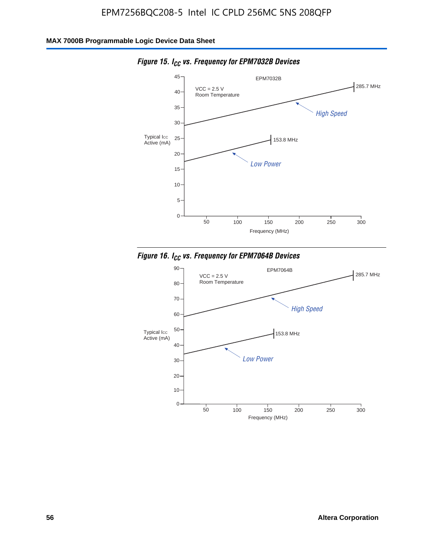![](_page_56_Figure_2.jpeg)

*Figure 15. ICC vs. Frequency for EPM7032B Devices*

![](_page_56_Figure_4.jpeg)

![](_page_56_Figure_5.jpeg)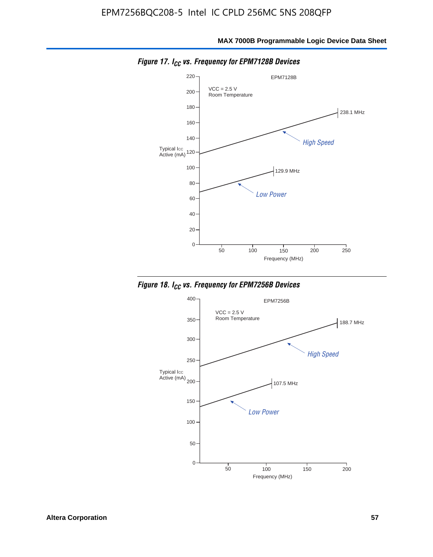![](_page_57_Figure_2.jpeg)

*Figure 17. ICC vs. Frequency for EPM7128B Devices*

![](_page_57_Figure_4.jpeg)

![](_page_57_Figure_5.jpeg)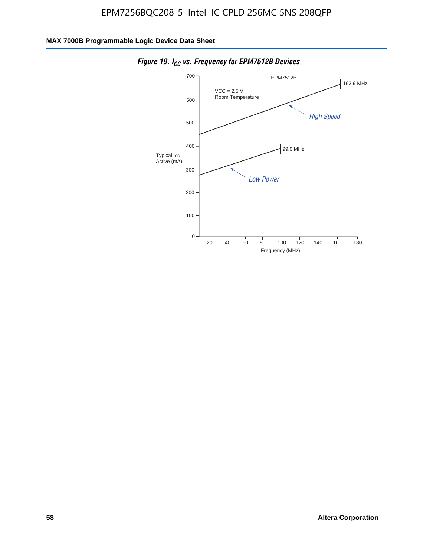![](_page_58_Figure_2.jpeg)

*Figure 19. I<sub>CC</sub> vs. Frequency for EPM7512B Devices*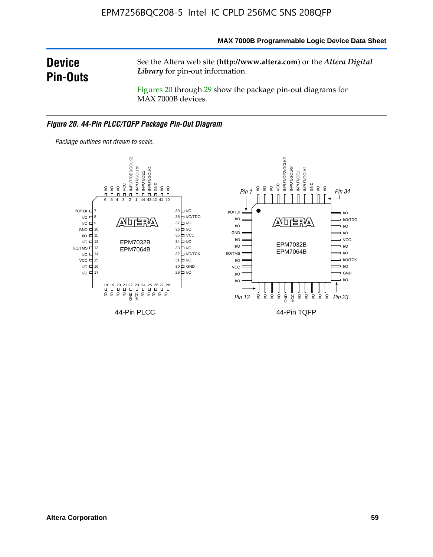#### **MAX 7000B Programmable Logic Device Data Sheet**

# **Device Pin-Outs**

See the Altera web site (**http://www.altera.com**) or the *Altera Digital Library* for pin-out information.

Figures 20 through 29 show the package pin-out diagrams for MAX 7000B devices.

#### *Figure 20. 44-Pin PLCC/TQFP Package Pin-Out Diagram*

![](_page_59_Figure_6.jpeg)

*Package outlines not drawn to scale.*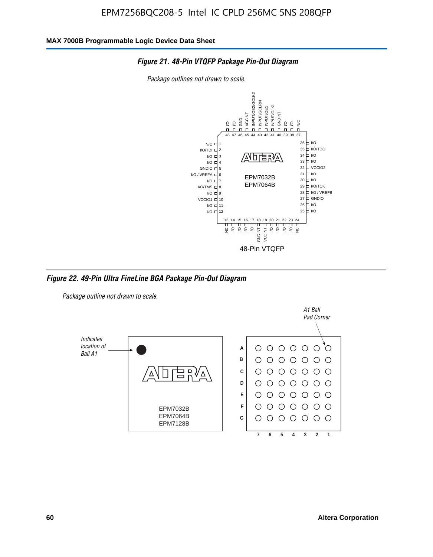![](_page_60_Figure_2.jpeg)

*Package outlines not drawn to scale.*

![](_page_60_Figure_4.jpeg)

*Figure 22. 49-Pin Ultra FineLine BGA Package Pin-Out Diagram*

*Package outline not drawn to scale.*

![](_page_60_Figure_7.jpeg)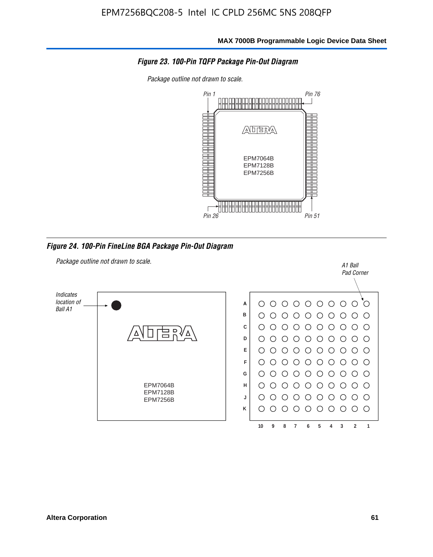![](_page_61_Figure_2.jpeg)

*Package outline not drawn to scale.*

![](_page_61_Figure_4.jpeg)

*Figure 24. 100-Pin FineLine BGA Package Pin-Out Diagram*

![](_page_61_Figure_6.jpeg)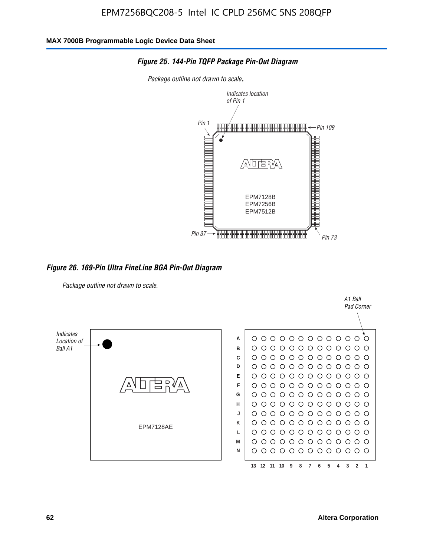![](_page_62_Figure_2.jpeg)

#### *Figure 25. 144-Pin TQFP Package Pin-Out Diagram*

*Package outline not drawn to scale*.

*Figure 26. 169-Pin Ultra FineLine BGA Pin-Out Diagram*

*Package outline not drawn to scale.*

![](_page_62_Figure_7.jpeg)

A1 Ball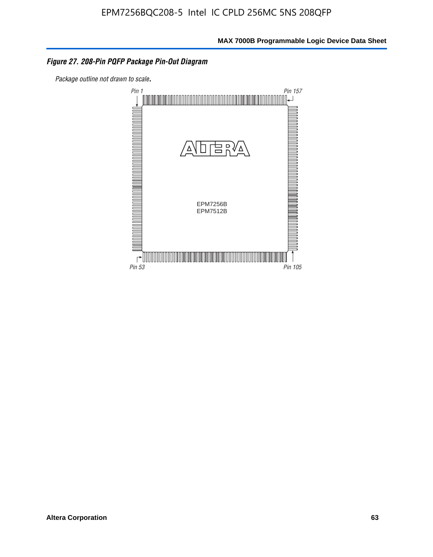#### *Figure 27. 208-Pin PQFP Package Pin-Out Diagram*

*Package outline not drawn to scale*.

![](_page_63_Figure_4.jpeg)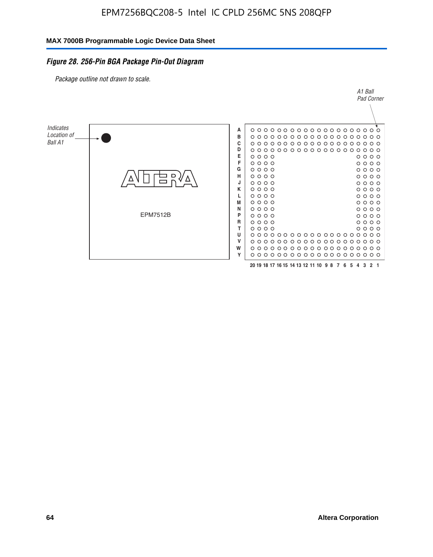#### *Figure 28. 256-Pin BGA Package Pin-Out Diagram*

*Package outline not drawn to scale.*

![](_page_64_Figure_4.jpeg)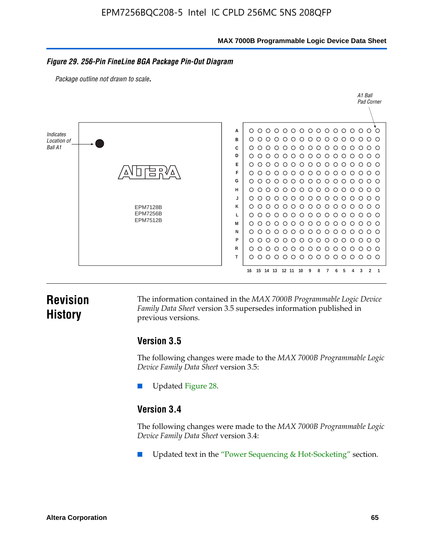**MAX 7000B Programmable Logic Device Data Sheet**

#### *Figure 29. 256-Pin FineLine BGA Package Pin-Out Diagram*

*Package outline not drawn to scale*.

![](_page_65_Figure_4.jpeg)

# **Revision History**

The information contained in the *MAX 7000B Programmable Logic Device Family Data Sheet* version 3.5 supersedes information published in previous versions.

### **Version 3.5**

The following changes were made to the *MAX 7000B Programmable Logic Device Family Data Sheet* version 3.5:

Updated Figure 28.

### **Version 3.4**

The following changes were made to the *MAX 7000B Programmable Logic Device Family Data Sheet* version 3.4:

Updated text in the "Power Sequencing & Hot-Socketing" section.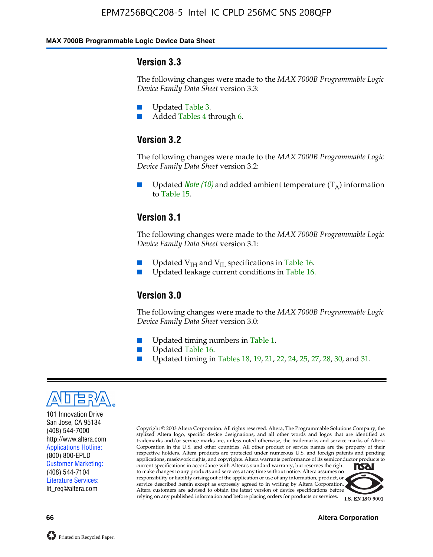#### **MAX 7000B Programmable Logic Device Data Sheet**

#### **Version 3.3**

The following changes were made to the *MAX 7000B Programmable Logic Device Family Data Sheet* version 3.3:

- Updated Table 3.
- Added Tables 4 through 6.

### **Version 3.2**

The following changes were made to the *MAX 7000B Programmable Logic Device Family Data Sheet* version 3.2:

Updated *Note* (10) and added ambient temperature  $(T_A)$  information to Table 15.

### **Version 3.1**

The following changes were made to the *MAX 7000B Programmable Logic Device Family Data Sheet* version 3.1:

- Updated  $V_{\text{IH}}$  and  $V_{\text{II}}$  specifications in Table 16.
- Updated leakage current conditions in Table 16.

### **Version 3.0**

The following changes were made to the *MAX 7000B Programmable Logic Device Family Data Sheet* version 3.0:

- Updated timing numbers in Table 1.
- Updated Table 16.
- Updated timing in Tables 18, 19, 21, 22, 24, 25, 27, 28, 30, and 31.

![](_page_66_Picture_18.jpeg)

101 Innovation Drive San Jose, CA 95134 (408) 544-7000 http://www.altera.com Applications Hotline: (800) 800-EPLD Customer Marketing: (408) 544-7104 Literature Services: lit\_req@altera.com

Copyright © 2003 Altera Corporation. All rights reserved. Altera, The Programmable Solutions Company, the stylized Altera logo, specific device designations, and all other words and logos that are identified as trademarks and/or service marks are, unless noted otherwise, the trademarks and service marks of Altera Corporation in the U.S. and other countries. All other product or service names are the property of their respective holders. Altera products are protected under numerous U.S. and foreign patents and pending applications, maskwork rights, and copyrights. Altera warrants performance of its semiconductor products to current specifications in accordance with Altera's standard warranty, but reserves the right **TSAI** to make changes to any products and services at any time without notice. Altera assumes no responsibility or liability arising out of the application or use of any information, product, or service described herein except as expressly agreed to in writing by Altera Corporation.

Altera customers are advised to obtain the latest version of device specifications before relying on any published information and before placing orders for products or services.

![](_page_66_Picture_22.jpeg)

**66 Altera Corporation**

![](_page_66_Picture_25.jpeg)